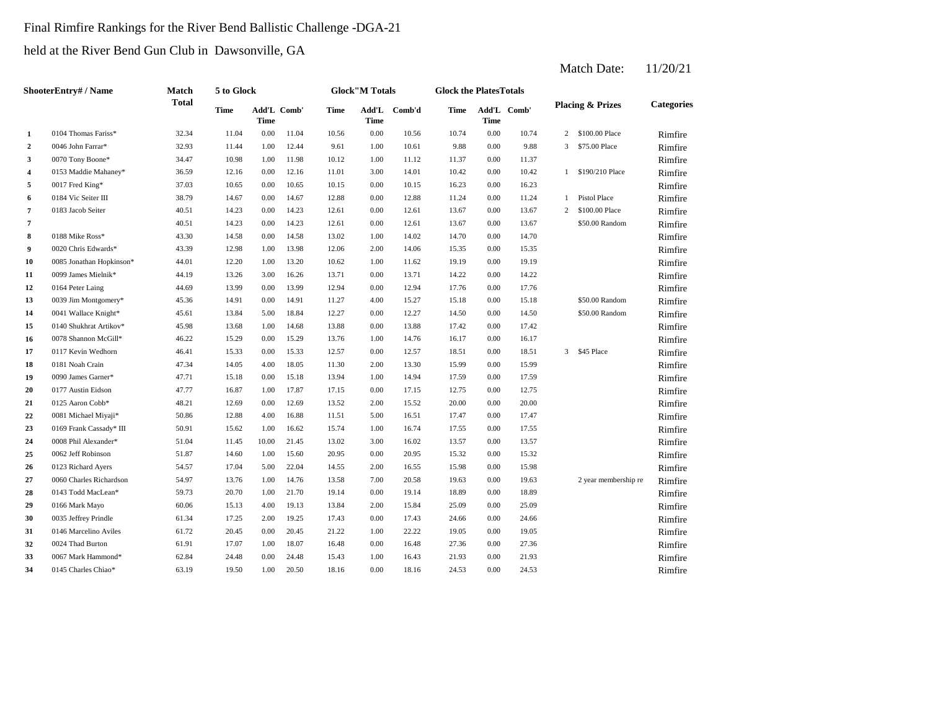## Final Rimfire Rankings for the River Bend Ballistic Challenge -DGA-21

held at the River Bend Gun Club in Dawsonville, GA

|                         | <b>ShooterEntry# / Name</b> | Match        | 5 to Glock  |                     |       |             | <b>Glock</b> "M Totals |        | <b>Glock the PlatesTotals</b> |      |             |                |                             |                   |
|-------------------------|-----------------------------|--------------|-------------|---------------------|-------|-------------|------------------------|--------|-------------------------------|------|-------------|----------------|-----------------------------|-------------------|
|                         |                             | <b>Total</b> | <b>Time</b> | Add'L Comb'<br>Time |       | <b>Time</b> | Add'L<br>Time          | Comb'd | Time                          | Time | Add'L Comb' |                | <b>Placing &amp; Prizes</b> | <b>Categories</b> |
| 1                       | 0104 Thomas Fariss*         | 32.34        | 11.04       | 0.00                | 11.04 | 10.56       | 0.00                   | 10.56  | 10.74                         | 0.00 | 10.74       | 2              | \$100.00 Place              | Rimfire           |
| $\overline{2}$          | 0046 John Farrar*           | 32.93        | 11.44       | 1.00                | 12.44 | 9.61        | 1.00                   | 10.61  | 9.88                          | 0.00 | 9.88        | 3              | \$75.00 Place               | Rimfire           |
| 3                       | 0070 Tony Boone*            | 34.47        | 10.98       | 1.00                | 11.98 | 10.12       | 1.00                   | 11.12  | 11.37                         | 0.00 | 11.37       |                |                             | Rimfire           |
| 4                       | 0153 Maddie Mahaney*        | 36.59        | 12.16       | 0.00                | 12.16 | 11.01       | 3.00                   | 14.01  | 10.42                         | 0.00 | 10.42       |                | 1 \$190/210 Place           | Rimfire           |
| 5                       | 0017 Fred King*             | 37.03        | 10.65       | 0.00                | 10.65 | 10.15       | 0.00                   | 10.15  | 16.23                         | 0.00 | 16.23       |                |                             | Rimfire           |
| 6                       | 0184 Vic Seiter III         | 38.79        | 14.67       | 0.00                | 14.67 | 12.88       | 0.00                   | 12.88  | 11.24                         | 0.00 | 11.24       | $\mathbf{1}$   | <b>Pistol Place</b>         | Rimfire           |
| $\overline{\mathbf{7}}$ | 0183 Jacob Seiter           | 40.51        | 14.23       | 0.00                | 14.23 | 12.61       | 0.00                   | 12.61  | 13.67                         | 0.00 | 13.67       | $\overline{2}$ | \$100.00 Place              | Rimfire           |
| $\overline{7}$          |                             | 40.51        | 14.23       | 0.00                | 14.23 | 12.61       | 0.00                   | 12.61  | 13.67                         | 0.00 | 13.67       |                | \$50.00 Random              | Rimfire           |
| 8                       | 0188 Mike Ross*             | 43.30        | 14.58       | 0.00                | 14.58 | 13.02       | 1.00                   | 14.02  | 14.70                         | 0.00 | 14.70       |                |                             | Rimfire           |
| 9                       | 0020 Chris Edwards*         | 43.39        | 12.98       | 1.00                | 13.98 | 12.06       | 2.00                   | 14.06  | 15.35                         | 0.00 | 15.35       |                |                             | Rimfire           |
| 10                      | 0085 Jonathan Hopkinson*    | 44.01        | 12.20       | 1.00                | 13.20 | 10.62       | 1.00                   | 11.62  | 19.19                         | 0.00 | 19.19       |                |                             | Rimfire           |
| 11                      | 0099 James Mielnik*         | 44.19        | 13.26       | 3.00                | 16.26 | 13.71       | 0.00                   | 13.71  | 14.22                         | 0.00 | 14.22       |                |                             | Rimfire           |
| 12                      | 0164 Peter Laing            | 44.69        | 13.99       | 0.00                | 13.99 | 12.94       | 0.00                   | 12.94  | 17.76                         | 0.00 | 17.76       |                |                             | Rimfire           |
| 13                      | 0039 Jim Montgomery*        | 45.36        | 14.91       | 0.00                | 14.91 | 11.27       | 4.00                   | 15.27  | 15.18                         | 0.00 | 15.18       |                | \$50.00 Random              | Rimfire           |
| 14                      | 0041 Wallace Knight*        | 45.61        | 13.84       | 5.00                | 18.84 | 12.27       | 0.00                   | 12.27  | 14.50                         | 0.00 | 14.50       |                | \$50.00 Random              | Rimfire           |
| 15                      | 0140 Shukhrat Artikov*      | 45.98        | 13.68       | 1.00                | 14.68 | 13.88       | 0.00                   | 13.88  | 17.42                         | 0.00 | 17.42       |                |                             | Rimfire           |
| 16                      | 0078 Shannon McGill*        | 46.22        | 15.29       | 0.00                | 15.29 | 13.76       | 1.00                   | 14.76  | 16.17                         | 0.00 | 16.17       |                |                             | Rimfire           |
| 17                      | 0117 Kevin Wedhorn          | 46.41        | 15.33       | 0.00                | 15.33 | 12.57       | 0.00                   | 12.57  | 18.51                         | 0.00 | 18.51       | $\overline{3}$ | \$45 Place                  | Rimfire           |
| 18                      | 0181 Noah Crain             | 47.34        | 14.05       | 4.00                | 18.05 | 11.30       | 2.00                   | 13.30  | 15.99                         | 0.00 | 15.99       |                |                             | Rimfire           |
| 19                      | 0090 James Garner*          | 47.71        | 15.18       | 0.00                | 15.18 | 13.94       | 1.00                   | 14.94  | 17.59                         | 0.00 | 17.59       |                |                             | Rimfire           |
| 20                      | 0177 Austin Eidson          | 47.77        | 16.87       | 1.00                | 17.87 | 17.15       | 0.00                   | 17.15  | 12.75                         | 0.00 | 12.75       |                |                             | Rimfire           |
| 21                      | 0125 Aaron Cobb*            | 48.21        | 12.69       | 0.00                | 12.69 | 13.52       | 2.00                   | 15.52  | 20.00                         | 0.00 | 20.00       |                |                             | Rimfire           |
| 22                      | 0081 Michael Miyaji*        | 50.86        | 12.88       | 4.00                | 16.88 | 11.51       | 5.00                   | 16.51  | 17.47                         | 0.00 | 17.47       |                |                             | Rimfire           |
| 23                      | 0169 Frank Cassady* III     | 50.91        | 15.62       | 1.00                | 16.62 | 15.74       | 1.00                   | 16.74  | 17.55                         | 0.00 | 17.55       |                |                             | Rimfire           |
| 24                      | 0008 Phil Alexander*        | 51.04        | 11.45       | 10.00               | 21.45 | 13.02       | 3.00                   | 16.02  | 13.57                         | 0.00 | 13.57       |                |                             | Rimfire           |
| 25                      | 0062 Jeff Robinson          | 51.87        | 14.60       | 1.00                | 15.60 | 20.95       | 0.00                   | 20.95  | 15.32                         | 0.00 | 15.32       |                |                             | Rimfire           |
| 26                      | 0123 Richard Ayers          | 54.57        | 17.04       | 5.00                | 22.04 | 14.55       | 2.00                   | 16.55  | 15.98                         | 0.00 | 15.98       |                |                             | Rimfire           |
| 27                      | 0060 Charles Richardson     | 54.97        | 13.76       | 1.00                | 14.76 | 13.58       | 7.00                   | 20.58  | 19.63                         | 0.00 | 19.63       |                | 2 year membership re        | Rimfire           |
| 28                      | 0143 Todd MacLean*          | 59.73        | 20.70       | 1.00                | 21.70 | 19.14       | 0.00                   | 19.14  | 18.89                         | 0.00 | 18.89       |                |                             | Rimfire           |
| 29                      | 0166 Mark Mayo              | 60.06        | 15.13       | 4.00                | 19.13 | 13.84       | 2.00                   | 15.84  | 25.09                         | 0.00 | 25.09       |                |                             | Rimfire           |
| 30                      | 0035 Jeffrey Prindle        | 61.34        | 17.25       | 2.00                | 19.25 | 17.43       | 0.00                   | 17.43  | 24.66                         | 0.00 | 24.66       |                |                             | Rimfire           |
| 31                      | 0146 Marcelino Aviles       | 61.72        | 20.45       | 0.00                | 20.45 | 21.22       | 1.00                   | 22.22  | 19.05                         | 0.00 | 19.05       |                |                             | Rimfire           |
| 32                      | 0024 Thad Burton            | 61.91        | 17.07       | 1.00                | 18.07 | 16.48       | 0.00                   | 16.48  | 27.36                         | 0.00 | 27.36       |                |                             | Rimfire           |
| 33                      | 0067 Mark Hammond*          | 62.84        | 24.48       | 0.00                | 24.48 | 15.43       | 1.00                   | 16.43  | 21.93                         | 0.00 | 21.93       |                |                             | Rimfire           |
| 34                      | 0145 Charles Chiao*         | 63.19        | 19.50       | 1.00                | 20.50 | 18.16       | 0.00                   | 18.16  | 24.53                         | 0.00 | 24.53       |                |                             | Rimfire           |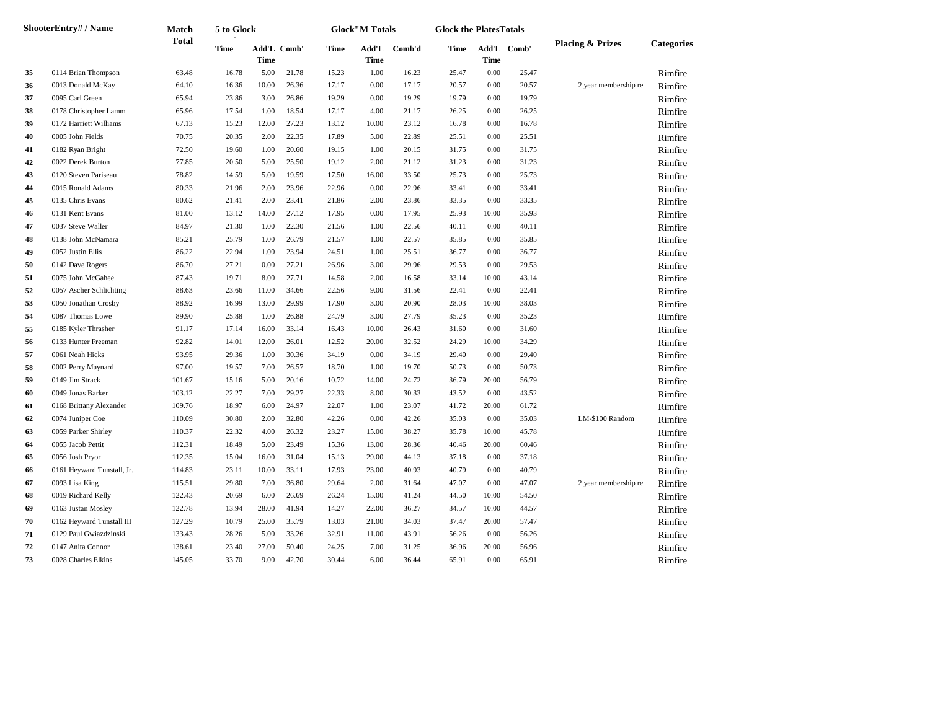|    | <b>ShooterEntry#/Name</b>  | Match        | 5 to Glock |       |             |             | <b>Glock"M Totals</b> |        | <b>Glock the PlatesTotals</b> |          |             |                             |                   |
|----|----------------------------|--------------|------------|-------|-------------|-------------|-----------------------|--------|-------------------------------|----------|-------------|-----------------------------|-------------------|
|    |                            | <b>Total</b> | Time       | Time  | Add'L Comb' | <b>Time</b> | Add'L<br><b>Time</b>  | Comb'd | Time                          | Time     | Add'L Comb' | <b>Placing &amp; Prizes</b> | <b>Categories</b> |
| 35 | 0114 Brian Thompson        | 63.48        | 16.78      | 5.00  | 21.78       | 15.23       | 1.00                  | 16.23  | 25.47                         | 0.00     | 25.47       |                             | Rimfire           |
| 36 | 0013 Donald McKay          | 64.10        | 16.36      | 10.00 | 26.36       | 17.17       | 0.00                  | 17.17  | 20.57                         | $0.00\,$ | 20.57       | 2 year membership re        | Rimfire           |
| 37 | 0095 Carl Green            | 65.94        | 23.86      | 3.00  | 26.86       | 19.29       | 0.00                  | 19.29  | 19.79                         | $0.00\,$ | 19.79       |                             | Rimfire           |
| 38 | 0178 Christopher Lamm      | 65.96        | 17.54      | 1.00  | 18.54       | 17.17       | 4.00                  | 21.17  | 26.25                         | 0.00     | 26.25       |                             | Rimfire           |
| 39 | 0172 Harriett Williams     | 67.13        | 15.23      | 12.00 | 27.23       | 13.12       | 10.00                 | 23.12  | 16.78                         | 0.00     | 16.78       |                             | Rimfire           |
| 40 | 0005 John Fields           | 70.75        | 20.35      | 2.00  | 22.35       | 17.89       | 5.00                  | 22.89  | 25.51                         | 0.00     | 25.51       |                             | Rimfire           |
| 41 | 0182 Ryan Bright           | 72.50        | 19.60      | 1.00  | 20.60       | 19.15       | 1.00                  | 20.15  | 31.75                         | $0.00\,$ | 31.75       |                             | Rimfire           |
| 42 | 0022 Derek Burton          | 77.85        | 20.50      | 5.00  | 25.50       | 19.12       | 2.00                  | 21.12  | 31.23                         | $0.00\,$ | 31.23       |                             | Rimfire           |
| 43 | 0120 Steven Pariseau       | 78.82        | 14.59      | 5.00  | 19.59       | 17.50       | 16.00                 | 33.50  | 25.73                         | $0.00\,$ | 25.73       |                             | Rimfire           |
| 44 | 0015 Ronald Adams          | 80.33        | 21.96      | 2.00  | 23.96       | 22.96       | 0.00                  | 22.96  | 33.41                         | 0.00     | 33.41       |                             | Rimfire           |
| 45 | 0135 Chris Evans           | 80.62        | 21.41      | 2.00  | 23.41       | 21.86       | 2.00                  | 23.86  | 33.35                         | 0.00     | 33.35       |                             | Rimfire           |
| 46 | 0131 Kent Evans            | 81.00        | 13.12      | 14.00 | 27.12       | 17.95       | 0.00                  | 17.95  | 25.93                         | 10.00    | 35.93       |                             | Rimfire           |
| 47 | 0037 Steve Waller          | 84.97        | 21.30      | 1.00  | 22.30       | 21.56       | 1.00                  | 22.56  | 40.11                         | $0.00\,$ | 40.11       |                             | Rimfire           |
| 48 | 0138 John McNamara         | 85.21        | 25.79      | 1.00  | 26.79       | 21.57       | 1.00                  | 22.57  | 35.85                         | 0.00     | 35.85       |                             | Rimfire           |
| 49 | 0052 Justin Ellis          | 86.22        | 22.94      | 1.00  | 23.94       | 24.51       | 1.00                  | 25.51  | 36.77                         | 0.00     | 36.77       |                             | Rimfire           |
| 50 | 0142 Dave Rogers           | 86.70        | 27.21      | 0.00  | 27.21       | 26.96       | 3.00                  | 29.96  | 29.53                         | 0.00     | 29.53       |                             | Rimfire           |
| 51 | 0075 John McGahee          | 87.43        | 19.71      | 8.00  | 27.71       | 14.58       | 2.00                  | 16.58  | 33.14                         | 10.00    | 43.14       |                             | Rimfire           |
| 52 | 0057 Ascher Schlichting    | 88.63        | 23.66      | 11.00 | 34.66       | 22.56       | 9.00                  | 31.56  | 22.41                         | 0.00     | 22.41       |                             | Rimfire           |
| 53 | 0050 Jonathan Crosby       | 88.92        | 16.99      | 13.00 | 29.99       | 17.90       | 3.00                  | 20.90  | 28.03                         | 10.00    | 38.03       |                             | Rimfire           |
| 54 | 0087 Thomas Lowe           | 89.90        | 25.88      | 1.00  | 26.88       | 24.79       | 3.00                  | 27.79  | 35.23                         | $0.00\,$ | 35.23       |                             | Rimfire           |
| 55 | 0185 Kyler Thrasher        | 91.17        | 17.14      | 16.00 | 33.14       | 16.43       | 10.00                 | 26.43  | 31.60                         | 0.00     | 31.60       |                             | Rimfire           |
| 56 | 0133 Hunter Freeman        | 92.82        | 14.01      | 12.00 | 26.01       | 12.52       | 20.00                 | 32.52  | 24.29                         | 10.00    | 34.29       |                             | Rimfire           |
| 57 | 0061 Noah Hicks            | 93.95        | 29.36      | 1.00  | 30.36       | 34.19       | 0.00                  | 34.19  | 29.40                         | 0.00     | 29.40       |                             | Rimfire           |
| 58 | 0002 Perry Maynard         | 97.00        | 19.57      | 7.00  | 26.57       | 18.70       | 1.00                  | 19.70  | 50.73                         | 0.00     | 50.73       |                             | Rimfire           |
| 59 | 0149 Jim Strack            | 101.67       | 15.16      | 5.00  | 20.16       | 10.72       | 14.00                 | 24.72  | 36.79                         | 20.00    | 56.79       |                             | Rimfire           |
| 60 | 0049 Jonas Barker          | 103.12       | 22.27      | 7.00  | 29.27       | 22.33       | 8.00                  | 30.33  | 43.52                         | $0.00\,$ | 43.52       |                             | Rimfire           |
| 61 | 0168 Brittany Alexander    | 109.76       | 18.97      | 6.00  | 24.97       | 22.07       | 1.00                  | 23.07  | 41.72                         | 20.00    | 61.72       |                             | Rimfire           |
| 62 | 0074 Juniper Coe           | 110.09       | 30.80      | 2.00  | 32.80       | 42.26       | 0.00                  | 42.26  | 35.03                         | 0.00     | 35.03       | LM-\$100 Random             | Rimfire           |
| 63 | 0059 Parker Shirley        | 110.37       | 22.32      | 4.00  | 26.32       | 23.27       | 15.00                 | 38.27  | 35.78                         | 10.00    | 45.78       |                             | Rimfire           |
| 64 | 0055 Jacob Pettit          | 112.31       | 18.49      | 5.00  | 23.49       | 15.36       | 13.00                 | 28.36  | 40.46                         | 20.00    | 60.46       |                             | Rimfire           |
| 65 | 0056 Josh Pryor            | 112.35       | 15.04      | 16.00 | 31.04       | 15.13       | 29.00                 | 44.13  | 37.18                         | 0.00     | 37.18       |                             | Rimfire           |
| 66 | 0161 Heyward Tunstall, Jr. | 114.83       | 23.11      | 10.00 | 33.11       | 17.93       | 23.00                 | 40.93  | 40.79                         | 0.00     | 40.79       |                             | Rimfire           |
| 67 | 0093 Lisa King             | 115.51       | 29.80      | 7.00  | 36.80       | 29.64       | 2.00                  | 31.64  | 47.07                         | 0.00     | 47.07       | 2 year membership re        | Rimfire           |
| 68 | 0019 Richard Kelly         | 122.43       | 20.69      | 6.00  | 26.69       | 26.24       | 15.00                 | 41.24  | 44.50                         | 10.00    | 54.50       |                             | Rimfire           |
| 69 | 0163 Justan Mosley         | 122.78       | 13.94      | 28.00 | 41.94       | 14.27       | 22.00                 | 36.27  | 34.57                         | 10.00    | 44.57       |                             | Rimfire           |
| 70 | 0162 Heyward Tunstall III  | 127.29       | 10.79      | 25.00 | 35.79       | 13.03       | 21.00                 | 34.03  | 37.47                         | 20.00    | 57.47       |                             | Rimfire           |
| 71 | 0129 Paul Gwiazdzinski     | 133.43       | 28.26      | 5.00  | 33.26       | 32.91       | 11.00                 | 43.91  | 56.26                         | $0.00\,$ | 56.26       |                             | Rimfire           |
| 72 | 0147 Anita Connor          | 138.61       | 23.40      | 27.00 | 50.40       | 24.25       | 7.00                  | 31.25  | 36.96                         | 20.00    | 56.96       |                             | Rimfire           |
| 73 | 0028 Charles Elkins        | 145.05       | 33.70      | 9.00  | 42.70       | 30.44       | 6.00                  | 36.44  | 65.91                         | 0.00     | 65.91       |                             | Rimfire           |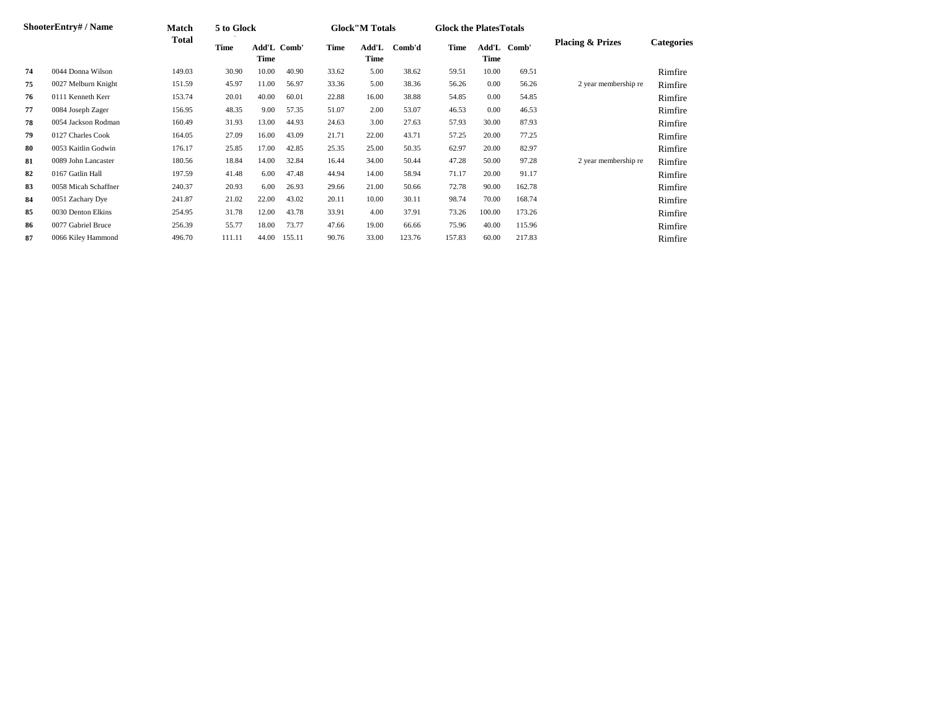|     | <b>ShooterEntry#/Name</b> | <b>Match</b> | 5 to Glock |                     |        |       | <b>Glock</b> "M Totals |        | <b>Glock the Plates Totals</b> |        |             |                             |                   |
|-----|---------------------------|--------------|------------|---------------------|--------|-------|------------------------|--------|--------------------------------|--------|-------------|-----------------------------|-------------------|
|     |                           | Total        | Time       | Add'L Comb'<br>Time |        | Time  | Add'L<br><b>Time</b>   | Comb'd | Time                           | Time   | Add'L Comb' | <b>Placing &amp; Prizes</b> | <b>Categories</b> |
| 74  | 0044 Donna Wilson         | 149.03       | 30.90      | 10.00               | 40.90  | 33.62 | 5.00                   | 38.62  | 59.51                          | 10.00  | 69.51       |                             | Rimfire           |
| 75  | 0027 Melburn Knight       | 151.59       | 45.97      | 11.00               | 56.97  | 33.36 | 5.00                   | 38.36  | 56.26                          | 0.00   | 56.26       | 2 year membership re        | Rimfire           |
| 76  | 0111 Kenneth Kerr         | 153.74       | 20.01      | 40.00               | 60.01  | 22.88 | 16.00                  | 38.88  | 54.85                          | 0.00   | 54.85       |                             | Rimfire           |
| 77  | 0084 Joseph Zager         | 156.95       | 48.35      | 9.00                | 57.35  | 51.07 | 2.00                   | 53.07  | 46.53                          | 0.00   | 46.53       |                             | Rimfire           |
| 78  | 0054 Jackson Rodman       | 160.49       | 31.93      | 13.00               | 44.93  | 24.63 | 3.00                   | 27.63  | 57.93                          | 30.00  | 87.93       |                             | Rimfire           |
| 79  | 0127 Charles Cook         | 164.05       | 27.09      | 16.00               | 43.09  | 21.71 | 22.00                  | 43.71  | 57.25                          | 20.00  | 77.25       |                             | Rimfire           |
| 80  | 0053 Kaitlin Godwin       | 176.17       | 25.85      | 17.00               | 42.85  | 25.35 | 25.00                  | 50.35  | 62.97                          | 20.00  | 82.97       |                             | Rimfire           |
| 81  | 0089 John Lancaster       | 180.56       | 18.84      | 14.00               | 32.84  | 16.44 | 34.00                  | 50.44  | 47.28                          | 50.00  | 97.28       | 2 year membership re        | Rimfire           |
| 82  | 0167 Gatlin Hall          | 197.59       | 41.48      | 6.00                | 47.48  | 44.94 | 14.00                  | 58.94  | 71.17                          | 20.00  | 91.17       |                             | Rimfire           |
| 83  | 0058 Micah Schaffner      | 240.37       | 20.93      | 6.00                | 26.93  | 29.66 | 21.00                  | 50.66  | 72.78                          | 90.00  | 162.78      |                             | Rimfire           |
| 84  | 0051 Zachary Dye          | 241.87       | 21.02      | 22.00               | 43.02  | 20.11 | 10.00                  | 30.11  | 98.74                          | 70.00  | 168.74      |                             | Rimfire           |
| 85  | 0030 Denton Elkins        | 254.95       | 31.78      | 12.00               | 43.78  | 33.91 | 4.00                   | 37.91  | 73.26                          | 100.00 | 173.26      |                             | Rimfire           |
| -86 | 0077 Gabriel Bruce        | 256.39       | 55.77      | 18.00               | 73.77  | 47.66 | 19.00                  | 66.66  | 75.96                          | 40.00  | 115.96      |                             | Rimfire           |
| 87  | 0066 Kiley Hammond        | 496.70       | 111.11     | 44.00               | 155.11 | 90.76 | 33.00                  | 123.76 | 157.83                         | 60.00  | 217.83      |                             | Rimfire           |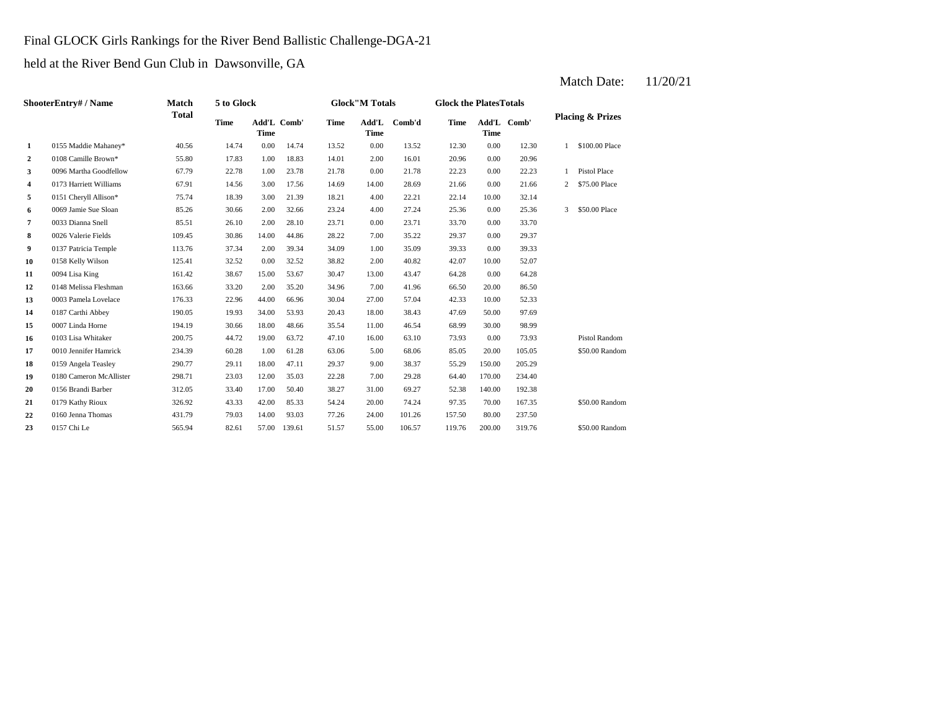## Final GLOCK Girls Rankings for the River Bend Ballistic Challenge-DGA-21

held at the River Bend Gun Club in Dawsonville, GA

|    | ShooterEntry# / Name    | <b>Match</b> | 5 to Glock  |             |             |             | <b>Glock"M Totals</b> |        | <b>Glock the PlatesTotals</b> |             |             |              |                             |
|----|-------------------------|--------------|-------------|-------------|-------------|-------------|-----------------------|--------|-------------------------------|-------------|-------------|--------------|-----------------------------|
|    |                         | <b>Total</b> | <b>Time</b> | <b>Time</b> | Add'L Comb' | <b>Time</b> | Add'L<br><b>Time</b>  | Comb'd | <b>Time</b>                   | <b>Time</b> | Add'L Comb' |              | <b>Placing &amp; Prizes</b> |
| 1  | 0155 Maddie Mahaney*    | 40.56        | 14.74       | 0.00        | 14.74       | 13.52       | 0.00                  | 13.52  | 12.30                         | 0.00        | 12.30       |              | \$100.00 Place              |
| 2  | 0108 Camille Brown*     | 55.80        | 17.83       | 1.00        | 18.83       | 14.01       | 2.00                  | 16.01  | 20.96                         | 0.00        | 20.96       |              |                             |
| 3  | 0096 Martha Goodfellow  | 67.79        | 22.78       | 1.00        | 23.78       | 21.78       | 0.00                  | 21.78  | 22.23                         | 0.00        | 22.23       |              | <b>Pistol Place</b>         |
| 4  | 0173 Harriett Williams  | 67.91        | 14.56       | 3.00        | 17.56       | 14.69       | 14.00                 | 28.69  | 21.66                         | 0.00        | 21.66       | 2            | \$75.00 Place               |
| 5  | 0151 Cheryll Allison*   | 75.74        | 18.39       | 3.00        | 21.39       | 18.21       | 4.00                  | 22.21  | 22.14                         | 10.00       | 32.14       |              |                             |
| 6  | 0069 Jamie Sue Sloan    | 85.26        | 30.66       | 2.00        | 32.66       | 23.24       | 4.00                  | 27.24  | 25.36                         | 0.00        | 25.36       | $\mathbf{3}$ | \$50.00 Place               |
| 7  | 0033 Dianna Snell       | 85.51        | 26.10       | 2.00        | 28.10       | 23.71       | 0.00                  | 23.71  | 33.70                         | 0.00        | 33.70       |              |                             |
| 8  | 0026 Valerie Fields     | 109.45       | 30.86       | 14.00       | 44.86       | 28.22       | 7.00                  | 35.22  | 29.37                         | 0.00        | 29.37       |              |                             |
| 9  | 0137 Patricia Temple    | 113.76       | 37.34       | 2.00        | 39.34       | 34.09       | 1.00                  | 35.09  | 39.33                         | 0.00        | 39.33       |              |                             |
| 10 | 0158 Kelly Wilson       | 125.41       | 32.52       | 0.00        | 32.52       | 38.82       | 2.00                  | 40.82  | 42.07                         | 10.00       | 52.07       |              |                             |
| 11 | 0094 Lisa King          | 161.42       | 38.67       | 15.00       | 53.67       | 30.47       | 13.00                 | 43.47  | 64.28                         | 0.00        | 64.28       |              |                             |
| 12 | 0148 Melissa Fleshman   | 163.66       | 33.20       | 2.00        | 35.20       | 34.96       | 7.00                  | 41.96  | 66.50                         | 20.00       | 86.50       |              |                             |
| 13 | 0003 Pamela Lovelace    | 176.33       | 22.96       | 44.00       | 66.96       | 30.04       | 27.00                 | 57.04  | 42.33                         | 10.00       | 52.33       |              |                             |
| 14 | 0187 Carthi Abbey       | 190.05       | 19.93       | 34.00       | 53.93       | 20.43       | 18.00                 | 38.43  | 47.69                         | 50.00       | 97.69       |              |                             |
| 15 | 0007 Linda Horne        | 194.19       | 30.66       | 18.00       | 48.66       | 35.54       | 11.00                 | 46.54  | 68.99                         | 30.00       | 98.99       |              |                             |
| 16 | 0103 Lisa Whitaker      | 200.75       | 44.72       | 19.00       | 63.72       | 47.10       | 16.00                 | 63.10  | 73.93                         | 0.00        | 73.93       |              | <b>Pistol Random</b>        |
| 17 | 0010 Jennifer Hamrick   | 234.39       | 60.28       | 1.00        | 61.28       | 63.06       | 5.00                  | 68.06  | 85.05                         | 20.00       | 105.05      |              | \$50.00 Random              |
| 18 | 0159 Angela Teasley     | 290.77       | 29.11       | 18.00       | 47.11       | 29.37       | 9.00                  | 38.37  | 55.29                         | 150.00      | 205.29      |              |                             |
| 19 | 0180 Cameron McAllister | 298.71       | 23.03       | 12.00       | 35.03       | 22.28       | 7.00                  | 29.28  | 64.40                         | 170.00      | 234.40      |              |                             |
| 20 | 0156 Brandi Barber      | 312.05       | 33.40       | 17.00       | 50.40       | 38.27       | 31.00                 | 69.27  | 52.38                         | 140.00      | 192.38      |              |                             |
| 21 | 0179 Kathy Rioux        | 326.92       | 43.33       | 42.00       | 85.33       | 54.24       | 20.00                 | 74.24  | 97.35                         | 70.00       | 167.35      |              | \$50.00 Random              |
| 22 | 0160 Jenna Thomas       | 431.79       | 79.03       | 14.00       | 93.03       | 77.26       | 24.00                 | 101.26 | 157.50                        | 80.00       | 237.50      |              |                             |
| 23 | 0157 Chi Le             | 565.94       | 82.61       | 57.00       | 139.61      | 51.57       | 55.00                 | 106.57 | 119.76                        | 200.00      | 319.76      |              | \$50.00 Random              |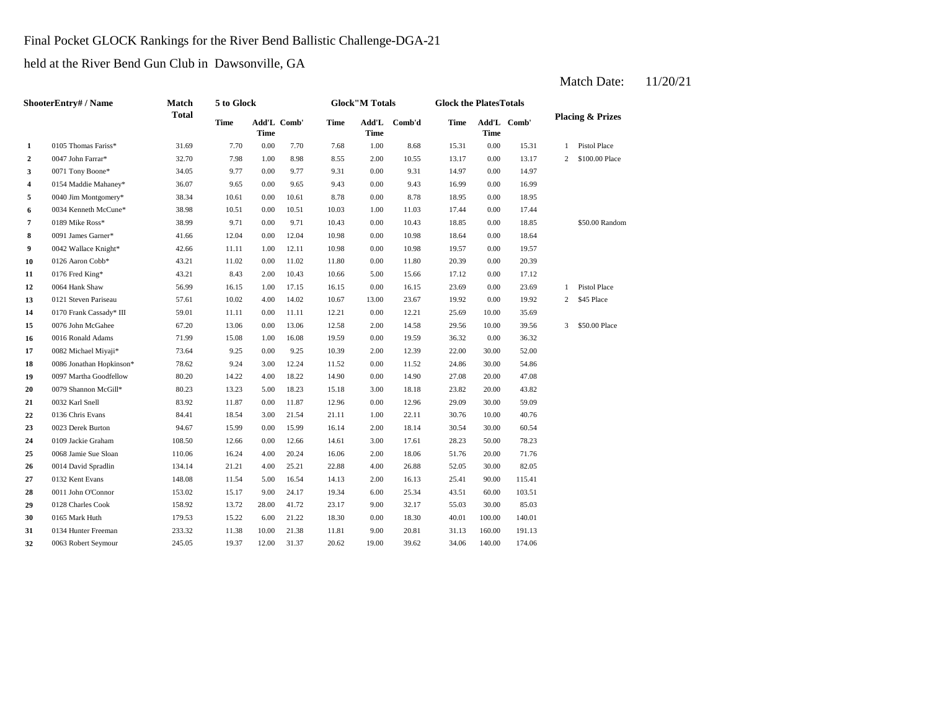# Final Pocket GLOCK Rankings for the River Bend Ballistic Challenge-DGA-21

held at the River Bend Gun Club in Dawsonville, GA

|                | ShooterEntry# / Name     | <b>Match</b> | 5 to Glock  |       |             |       | <b>Glock"M Totals</b> |        | <b>Glock the PlatesTotals</b> |             |             |                |                             |
|----------------|--------------------------|--------------|-------------|-------|-------------|-------|-----------------------|--------|-------------------------------|-------------|-------------|----------------|-----------------------------|
|                |                          | <b>Total</b> | <b>Time</b> | Time  | Add'L Comb' | Time  | Add'L<br>Time         | Comb'd | Time                          | <b>Time</b> | Add'L Comb' |                | <b>Placing &amp; Prizes</b> |
| 1              | 0105 Thomas Fariss*      | 31.69        | 7.70        | 0.00  | 7.70        | 7.68  | 1.00                  | 8.68   | 15.31                         | 0.00        | 15.31       | $\mathbf{1}$   | Pistol Place                |
| $\overline{a}$ | 0047 John Farrar*        | 32.70        | 7.98        | 1.00  | 8.98        | 8.55  | 2.00                  | 10.55  | 13.17                         | $0.00\,$    | 13.17       | $\overline{c}$ | \$100.00 Place              |
| 3              | 0071 Tony Boone*         | 34.05        | 9.77        | 0.00  | 9.77        | 9.31  | 0.00                  | 9.31   | 14.97                         | 0.00        | 14.97       |                |                             |
| 4              | 0154 Maddie Mahaney*     | 36.07        | 9.65        | 0.00  | 9.65        | 9.43  | 0.00                  | 9.43   | 16.99                         | 0.00        | 16.99       |                |                             |
| 5              | 0040 Jim Montgomery*     | 38.34        | 10.61       | 0.00  | 10.61       | 8.78  | 0.00                  | 8.78   | 18.95                         | 0.00        | 18.95       |                |                             |
| 6              | 0034 Kenneth McCune*     | 38.98        | 10.51       | 0.00  | 10.51       | 10.03 | 1.00                  | 11.03  | 17.44                         | 0.00        | 17.44       |                |                             |
| 7              | 0189 Mike Ross*          | 38.99        | 9.71        | 0.00  | 9.71        | 10.43 | 0.00                  | 10.43  | 18.85                         | 0.00        | 18.85       |                | \$50.00 Random              |
| 8              | 0091 James Garner*       | 41.66        | 12.04       | 0.00  | 12.04       | 10.98 | 0.00                  | 10.98  | 18.64                         | 0.00        | 18.64       |                |                             |
| 9              | 0042 Wallace Knight*     | 42.66        | 11.11       | 1.00  | 12.11       | 10.98 | 0.00                  | 10.98  | 19.57                         | 0.00        | 19.57       |                |                             |
| 10             | 0126 Aaron Cobb*         | 43.21        | 11.02       | 0.00  | 11.02       | 11.80 | 0.00                  | 11.80  | 20.39                         | 0.00        | 20.39       |                |                             |
| 11             | 0176 Fred King*          | 43.21        | 8.43        | 2.00  | 10.43       | 10.66 | 5.00                  | 15.66  | 17.12                         | 0.00        | 17.12       |                |                             |
| 12             | 0064 Hank Shaw           | 56.99        | 16.15       | 1.00  | 17.15       | 16.15 | 0.00                  | 16.15  | 23.69                         | 0.00        | 23.69       | $\mathbf{1}$   | Pistol Place                |
| 13             | 0121 Steven Pariseau     | 57.61        | 10.02       | 4.00  | 14.02       | 10.67 | 13.00                 | 23.67  | 19.92                         | 0.00        | 19.92       | $\overline{c}$ | \$45 Place                  |
| 14             | 0170 Frank Cassady* III  | 59.01        | 11.11       | 0.00  | 11.11       | 12.21 | 0.00                  | 12.21  | 25.69                         | 10.00       | 35.69       |                |                             |
| 15             | 0076 John McGahee        | 67.20        | 13.06       | 0.00  | 13.06       | 12.58 | 2.00                  | 14.58  | 29.56                         | 10.00       | 39.56       | 3              | \$50.00 Place               |
| 16             | 0016 Ronald Adams        | 71.99        | 15.08       | 1.00  | 16.08       | 19.59 | 0.00                  | 19.59  | 36.32                         | 0.00        | 36.32       |                |                             |
| 17             | 0082 Michael Miyaji*     | 73.64        | 9.25        | 0.00  | 9.25        | 10.39 | 2.00                  | 12.39  | 22.00                         | 30.00       | 52.00       |                |                             |
| 18             | 0086 Jonathan Hopkinson* | 78.62        | 9.24        | 3.00  | 12.24       | 11.52 | 0.00                  | 11.52  | 24.86                         | 30.00       | 54.86       |                |                             |
| 19             | 0097 Martha Goodfellow   | 80.20        | 14.22       | 4.00  | 18.22       | 14.90 | 0.00                  | 14.90  | 27.08                         | 20.00       | 47.08       |                |                             |
| 20             | 0079 Shannon McGill*     | 80.23        | 13.23       | 5.00  | 18.23       | 15.18 | 3.00                  | 18.18  | 23.82                         | 20.00       | 43.82       |                |                             |
| 21             | 0032 Karl Snell          | 83.92        | 11.87       | 0.00  | 11.87       | 12.96 | 0.00                  | 12.96  | 29.09                         | 30.00       | 59.09       |                |                             |
| 22             | 0136 Chris Evans         | 84.41        | 18.54       | 3.00  | 21.54       | 21.11 | 1.00                  | 22.11  | 30.76                         | 10.00       | 40.76       |                |                             |
| 23             | 0023 Derek Burton        | 94.67        | 15.99       | 0.00  | 15.99       | 16.14 | 2.00                  | 18.14  | 30.54                         | 30.00       | 60.54       |                |                             |
| 24             | 0109 Jackie Graham       | 108.50       | 12.66       | 0.00  | 12.66       | 14.61 | 3.00                  | 17.61  | 28.23                         | 50.00       | 78.23       |                |                             |
| 25             | 0068 Jamie Sue Sloan     | 110.06       | 16.24       | 4.00  | 20.24       | 16.06 | 2.00                  | 18.06  | 51.76                         | 20.00       | 71.76       |                |                             |
| 26             | 0014 David Spradlin      | 134.14       | 21.21       | 4.00  | 25.21       | 22.88 | 4.00                  | 26.88  | 52.05                         | 30.00       | 82.05       |                |                             |
| 27             | 0132 Kent Evans          | 148.08       | 11.54       | 5.00  | 16.54       | 14.13 | 2.00                  | 16.13  | 25.41                         | 90.00       | 115.41      |                |                             |
| 28             | 0011 John O'Connor       | 153.02       | 15.17       | 9.00  | 24.17       | 19.34 | 6.00                  | 25.34  | 43.51                         | 60.00       | 103.51      |                |                             |
| 29             | 0128 Charles Cook        | 158.92       | 13.72       | 28.00 | 41.72       | 23.17 | 9.00                  | 32.17  | 55.03                         | 30.00       | 85.03       |                |                             |
| 30             | 0165 Mark Huth           | 179.53       | 15.22       | 6.00  | 21.22       | 18.30 | 0.00                  | 18.30  | 40.01                         | 100.00      | 140.01      |                |                             |
| 31             | 0134 Hunter Freeman      | 233.32       | 11.38       | 10.00 | 21.38       | 11.81 | 9.00                  | 20.81  | 31.13                         | 160.00      | 191.13      |                |                             |
| 32             | 0063 Robert Seymour      | 245.05       | 19.37       | 12.00 | 31.37       | 20.62 | 19.00                 | 39.62  | 34.06                         | 140.00      | 174.06      |                |                             |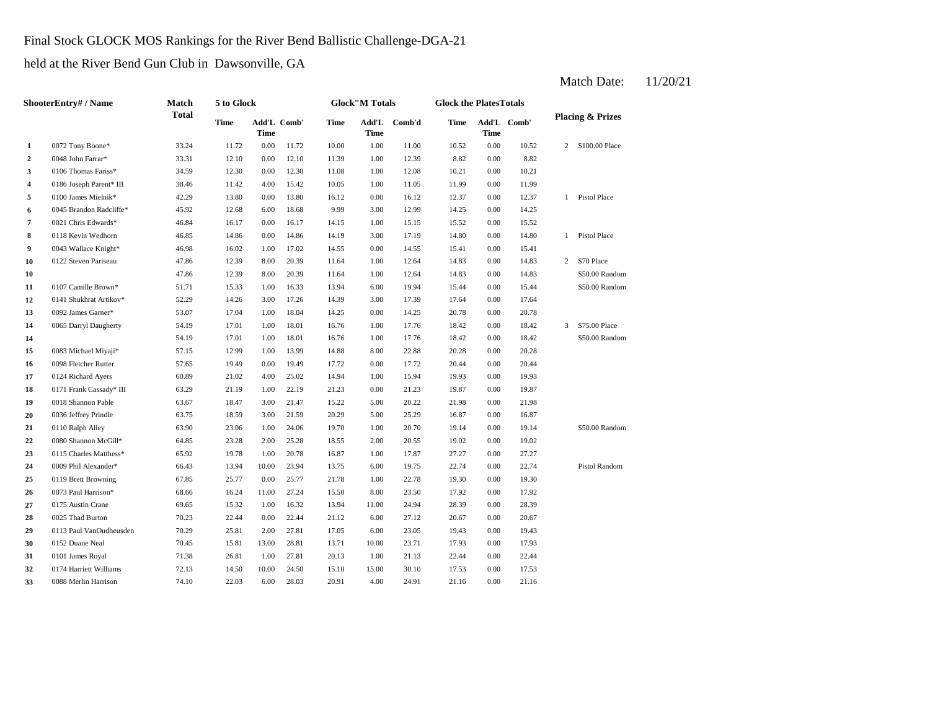## Final Stock GLOCK MOS Rankings for the River Bend Ballistic Challenge-DGA-21

held at the River Bend Gun Club in Dawsonville, GA

|                | ShooterEntry# / Name    | Match        | 5 to Glock  |          |             |       | <b>Glock</b> "M Totals |              | <b>Glock the PlatesTotals</b> |             |             |                |                             |
|----------------|-------------------------|--------------|-------------|----------|-------------|-------|------------------------|--------------|-------------------------------|-------------|-------------|----------------|-----------------------------|
|                |                         | <b>Total</b> | <b>Time</b> | Time     | Add'L Comb' | Time  | <b>Time</b>            | Add'L Comb'd | Time                          | <b>Time</b> | Add'L Comb' |                | <b>Placing &amp; Prizes</b> |
| $\mathbf{1}$   | 0072 Tony Boone*        | 33.24        | 11.72       | $0.00\,$ | 11.72       | 10.00 | 1.00                   | 11.00        | 10.52                         | 0.00        | 10.52       | $\overline{c}$ | \$100.00 Place              |
| $\overline{a}$ | 0048 John Farrar*       | 33.31        | 12.10       | $0.00\,$ | 12.10       | 11.39 | 1.00                   | 12.39        | 8.82                          | 0.00        | 8.82        |                |                             |
| 3              | 0106 Thomas Fariss*     | 34.59        | 12.30       | 0.00     | 12.30       | 11.08 | 1.00                   | 12.08        | 10.21                         | $0.00\,$    | 10.21       |                |                             |
| 4              | 0186 Joseph Parent* III | 38.46        | 11.42       | 4.00     | 15.42       | 10.05 | 1.00                   | 11.05        | 11.99                         | 0.00        | 11.99       |                |                             |
| 5              | 0100 James Mielnik*     | 42.29        | 13.80       | 0.00     | 13.80       | 16.12 | 0.00                   | 16.12        | 12.37                         | 0.00        | 12.37       | 1              | Pistol Place                |
| 6              | 0045 Brandon Radcliffe* | 45.92        | 12.68       | 6.00     | 18.68       | 9.99  | 3.00                   | 12.99        | 14.25                         | 0.00        | 14.25       |                |                             |
| 7              | 0021 Chris Edwards*     | 46.84        | 16.17       | 0.00     | 16.17       | 14.15 | 1.00                   | 15.15        | 15.52                         | 0.00        | 15.52       |                |                             |
| 8              | 0118 Kevin Wedhorn      | 46.85        | 14.86       | 0.00     | 14.86       | 14.19 | 3.00                   | 17.19        | 14.80                         | 0.00        | 14.80       | 1              | Pistol Place                |
| 9              | 0043 Wallace Knight*    | 46.98        | 16.02       | 1.00     | 17.02       | 14.55 | 0.00                   | 14.55        | 15.41                         | 0.00        | 15.41       |                |                             |
| 10             | 0122 Steven Pariseau    | 47.86        | 12.39       | 8.00     | 20.39       | 11.64 | 1.00                   | 12.64        | 14.83                         | 0.00        | 14.83       | $\overline{c}$ | \$70 Place                  |
| 10             |                         | 47.86        | 12.39       | 8.00     | 20.39       | 11.64 | 1.00                   | 12.64        | 14.83                         | 0.00        | 14.83       |                | \$50.00 Random              |
| 11             | 0107 Camille Brown*     | 51.71        | 15.33       | 1.00     | 16.33       | 13.94 | 6.00                   | 19.94        | 15.44                         | 0.00        | 15.44       |                | \$50.00 Random              |
| 12             | 0141 Shukhrat Artikov*  | 52.29        | 14.26       | 3.00     | 17.26       | 14.39 | 3.00                   | 17.39        | 17.64                         | 0.00        | 17.64       |                |                             |
| 13             | 0092 James Garner*      | 53.07        | 17.04       | 1.00     | 18.04       | 14.25 | 0.00                   | 14.25        | 20.78                         | 0.00        | 20.78       |                |                             |
| 14             | 0065 Darryl Daugherty   | 54.19        | 17.01       | 1.00     | 18.01       | 16.76 | 1.00                   | 17.76        | 18.42                         | 0.00        | 18.42       | 3              | \$75.00 Place               |
| 14             |                         | 54.19        | 17.01       | 1.00     | 18.01       | 16.76 | 1.00                   | 17.76        | 18.42                         | 0.00        | 18.42       |                | \$50.00 Random              |
| 15             | 0083 Michael Miyaji*    | 57.15        | 12.99       | 1.00     | 13.99       | 14.88 | 8.00                   | 22.88        | 20.28                         | 0.00        | 20.28       |                |                             |
| 16             | 0098 Fletcher Rutter    | 57.65        | 19.49       | 0.00     | 19.49       | 17.72 | 0.00                   | 17.72        | 20.44                         | 0.00        | 20.44       |                |                             |
| 17             | 0124 Richard Ayers      | 60.89        | 21.02       | 4.00     | 25.02       | 14.94 | 1.00                   | 15.94        | 19.93                         | 0.00        | 19.93       |                |                             |
| 18             | 0171 Frank Cassady* III | 63.29        | 21.19       | 1.00     | 22.19       | 21.23 | 0.00                   | 21.23        | 19.87                         | 0.00        | 19.87       |                |                             |
| 19             | 0018 Shannon Pable      | 63.67        | 18.47       | 3.00     | 21.47       | 15.22 | 5.00                   | 20.22        | 21.98                         | 0.00        | 21.98       |                |                             |
| 20             | 0036 Jeffrey Prindle    | 63.75        | 18.59       | 3.00     | 21.59       | 20.29 | 5.00                   | 25.29        | 16.87                         | 0.00        | 16.87       |                |                             |
| 21             | 0110 Ralph Alley        | 63.90        | 23.06       | 1.00     | 24.06       | 19.70 | 1.00                   | 20.70        | 19.14                         | 0.00        | 19.14       |                | \$50.00 Random              |
| 22             | 0080 Shannon McGill*    | 64.85        | 23.28       | 2.00     | 25.28       | 18.55 | 2.00                   | 20.55        | 19.02                         | 0.00        | 19.02       |                |                             |
| 23             | 0115 Charles Matthess*  | 65.92        | 19.78       | 1.00     | 20.78       | 16.87 | 1.00                   | 17.87        | 27.27                         | 0.00        | 27.27       |                |                             |
| 24             | 0009 Phil Alexander*    | 66.43        | 13.94       | 10.00    | 23.94       | 13.75 | 6.00                   | 19.75        | 22.74                         | 0.00        | 22.74       |                | Pistol Random               |
| 25             | 0119 Brett Browning     | 67.85        | 25.77       | 0.00     | 25.77       | 21.78 | 1.00                   | 22.78        | 19.30                         | 0.00        | 19.30       |                |                             |
| 26             | 0073 Paul Harrison*     | 68.66        | 16.24       | 11.00    | 27.24       | 15.50 | 8.00                   | 23.50        | 17.92                         | 0.00        | 17.92       |                |                             |
| 27             | 0175 Austin Crane       | 69.65        | 15.32       | 1.00     | 16.32       | 13.94 | 11.00                  | 24.94        | 28.39                         | 0.00        | 28.39       |                |                             |
| 28             | 0025 Thad Burton        | 70.23        | 22.44       | 0.00     | 22.44       | 21.12 | 6.00                   | 27.12        | 20.67                         | 0.00        | 20.67       |                |                             |
| 29             | 0113 Paul VanOudheusden | 70.29        | 25.81       | 2.00     | 27.81       | 17.05 | 6.00                   | 23.05        | 19.43                         | 0.00        | 19.43       |                |                             |
| 30             | 0152 Duane Neal         | 70.45        | 15.81       | 13.00    | 28.81       | 13.71 | 10.00                  | 23.71        | 17.93                         | 0.00        | 17.93       |                |                             |
| 31             | 0101 James Royal        | 71.38        | 26.81       | 1.00     | 27.81       | 20.13 | 1.00                   | 21.13        | 22.44                         | 0.00        | 22.44       |                |                             |
| 32             | 0174 Harriett Williams  | 72.13        | 14.50       | 10.00    | 24.50       | 15.10 | 15.00                  | 30.10        | 17.53                         | 0.00        | 17.53       |                |                             |
| 33             | 0088 Merlin Harrison    | 74.10        | 22.03       | 6.00     | 28.03       | 20.91 | 4.00                   | 24.91        | 21.16                         | 0.00        | 21.16       |                |                             |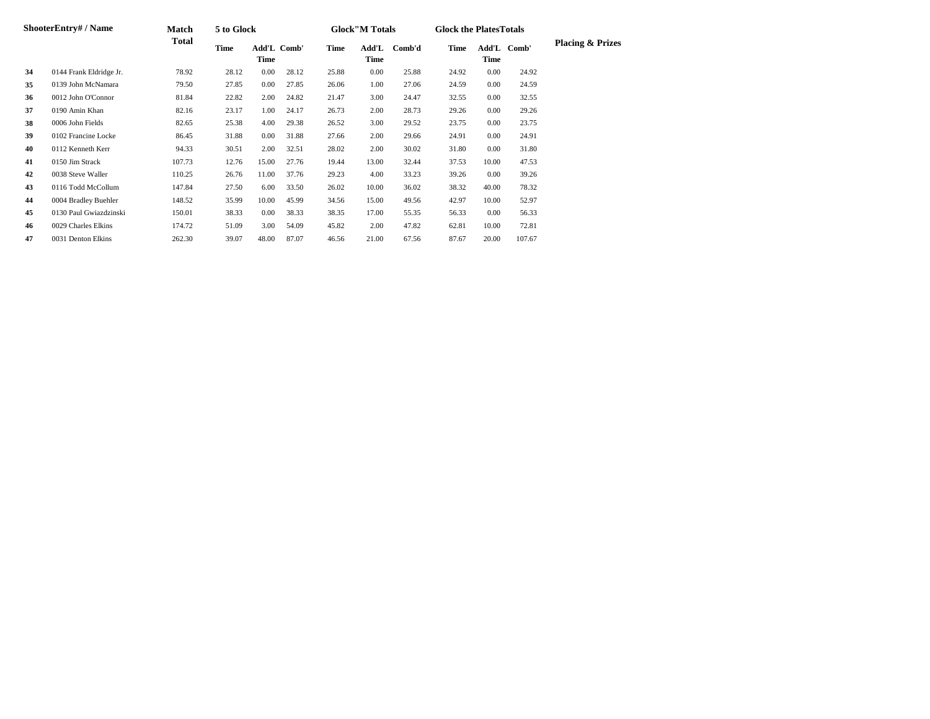|    | <b>ShooterEntry#/Name</b> | Match  | 5 to Glock |       |             |       | <b>Glock"M Totals</b> |        | <b>Glock the Plates Totals</b> |       |             |                             |
|----|---------------------------|--------|------------|-------|-------------|-------|-----------------------|--------|--------------------------------|-------|-------------|-----------------------------|
|    |                           | Total  | Time       | Time  | Add'L Comb' | Time  | Add'L<br>Time         | Comb'd | Time                           | Time  | Add'L Comb' | <b>Placing &amp; Prizes</b> |
| 34 | 0144 Frank Eldridge Jr.   | 78.92  | 28.12      | 0.00  | 28.12       | 25.88 | 0.00                  | 25.88  | 24.92                          | 0.00  | 24.92       |                             |
| 35 | 0139 John McNamara        | 79.50  | 27.85      | 0.00  | 27.85       | 26.06 | 1.00                  | 27.06  | 24.59                          | 0.00  | 24.59       |                             |
| 36 | 0012 John O'Connor        | 81.84  | 22.82      | 2.00  | 24.82       | 21.47 | 3.00                  | 24.47  | 32.55                          | 0.00  | 32.55       |                             |
| 37 | 0190 Amin Khan            | 82.16  | 23.17      | 1.00  | 24.17       | 26.73 | 2.00                  | 28.73  | 29.26                          | 0.00  | 29.26       |                             |
| 38 | 0006 John Fields          | 82.65  | 25.38      | 4.00  | 29.38       | 26.52 | 3.00                  | 29.52  | 23.75                          | 0.00  | 23.75       |                             |
| 39 | 0102 Francine Locke       | 86.45  | 31.88      | 0.00  | 31.88       | 27.66 | 2.00                  | 29.66  | 24.91                          | 0.00  | 24.91       |                             |
| 40 | 0112 Kenneth Kerr         | 94.33  | 30.51      | 2.00  | 32.51       | 28.02 | 2.00                  | 30.02  | 31.80                          | 0.00  | 31.80       |                             |
| 41 | 0150 Jim Strack           | 107.73 | 12.76      | 15.00 | 27.76       | 19.44 | 13.00                 | 32.44  | 37.53                          | 10.00 | 47.53       |                             |
| 42 | 0038 Steve Waller         | 110.25 | 26.76      | 11.00 | 37.76       | 29.23 | 4.00                  | 33.23  | 39.26                          | 0.00  | 39.26       |                             |
| 43 | 0116 Todd McCollum        | 147.84 | 27.50      | 6.00  | 33.50       | 26.02 | 10.00                 | 36.02  | 38.32                          | 40.00 | 78.32       |                             |
| 44 | 0004 Bradley Buehler      | 148.52 | 35.99      | 10.00 | 45.99       | 34.56 | 15.00                 | 49.56  | 42.97                          | 10.00 | 52.97       |                             |
| 45 | 0130 Paul Gwiazdzinski    | 150.01 | 38.33      | 0.00  | 38.33       | 38.35 | 17.00                 | 55.35  | 56.33                          | 0.00  | 56.33       |                             |
| 46 | 0029 Charles Elkins       | 174.72 | 51.09      | 3.00  | 54.09       | 45.82 | 2.00                  | 47.82  | 62.81                          | 10.00 | 72.81       |                             |
| 47 | 0031 Denton Elkins        | 262.30 | 39.07      | 48.00 | 87.07       | 46.56 | 21.00                 | 67.56  | 87.67                          | 20.00 | 107.67      |                             |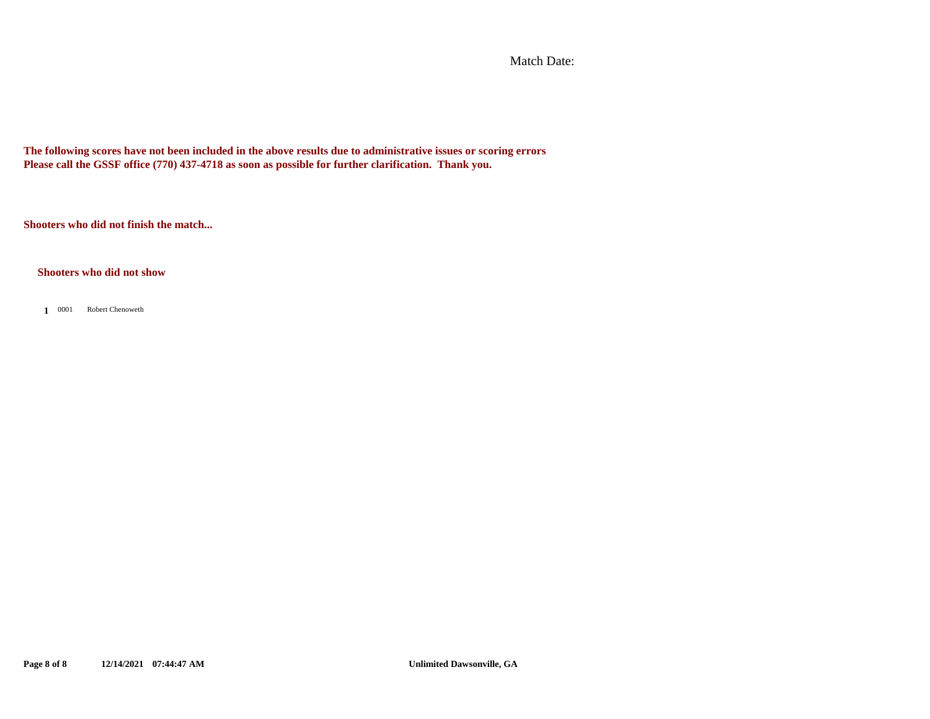Match Date:

**The following scores have not been included in the above results due to administrative issues or scoring errors Please call the GSSF office (770) 437-4718 as soon as possible for further clarification. Thank you.**

**Shooters who did not finish the match...**

#### **Shooters who did not show**

0001 **1** Robert Chenoweth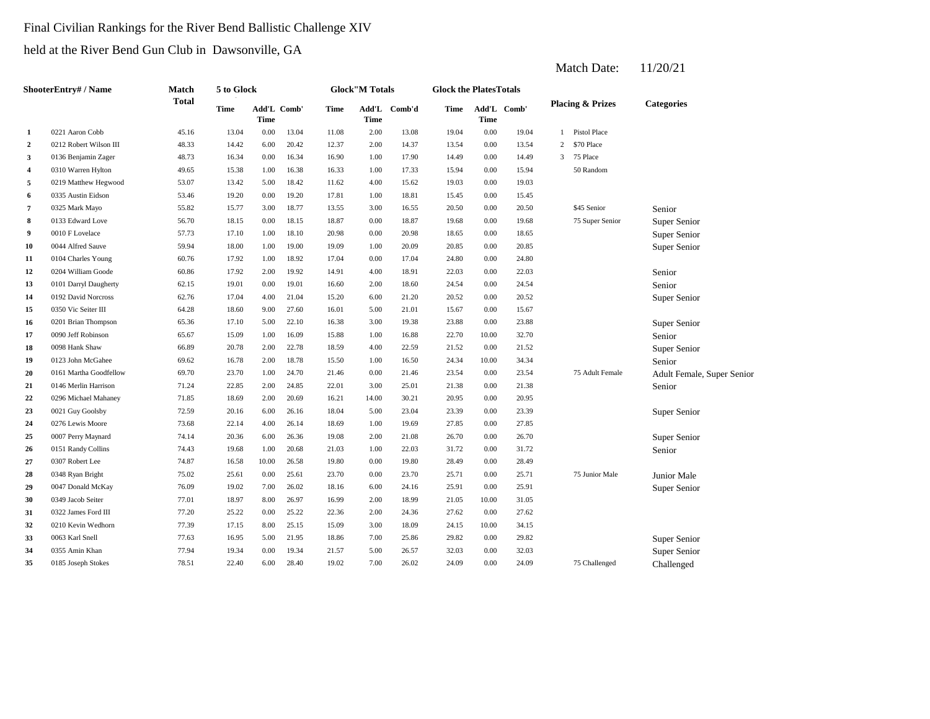## Final Civilian Rankings for the River Bend Ballistic Challenge XIV

held at the River Bend Gun Club in Dawsonville, GA

|                         | ShooterEntry# / Name   | Match | 5 to Glock  |                            |       |       | <b>Glock</b> "M Totals |        | <b>Glock the PlatesTotals</b> |             |             |                |                             |                            |
|-------------------------|------------------------|-------|-------------|----------------------------|-------|-------|------------------------|--------|-------------------------------|-------------|-------------|----------------|-----------------------------|----------------------------|
|                         |                        | Total | <b>Time</b> | Add'L Comb'<br><b>Time</b> |       | Time  | Add'L<br>Time          | Comb'd | Time                          | <b>Time</b> | Add'L Comb' |                | <b>Placing &amp; Prizes</b> | <b>Categories</b>          |
| 1                       | 0221 Aaron Cobb        | 45.16 | 13.04       | 0.00                       | 13.04 | 11.08 | 2.00                   | 13.08  | 19.04                         | 0.00        | 19.04       | $\overline{1}$ | Pistol Place                |                            |
| $\overline{2}$          | 0212 Robert Wilson III | 48.33 | 14.42       | 6.00                       | 20.42 | 12.37 | 2.00                   | 14.37  | 13.54                         | 0.00        | 13.54       | 2              | \$70 Place                  |                            |
| $\overline{\mathbf{3}}$ | 0136 Benjamin Zager    | 48.73 | 16.34       | $0.00\,$                   | 16.34 | 16.90 | 1.00                   | 17.90  | 14.49                         | 0.00        | 14.49       | 3              | 75 Place                    |                            |
| 4                       | 0310 Warren Hylton     | 49.65 | 15.38       | 1.00                       | 16.38 | 16.33 | 1.00                   | 17.33  | 15.94                         | 0.00        | 15.94       |                | 50 Random                   |                            |
| 5                       | 0219 Matthew Hegwood   | 53.07 | 13.42       | 5.00                       | 18.42 | 11.62 | 4.00                   | 15.62  | 19.03                         | 0.00        | 19.03       |                |                             |                            |
| 6                       | 0335 Austin Eidson     | 53.46 | 19.20       | 0.00                       | 19.20 | 17.81 | 1.00                   | 18.81  | 15.45                         | 0.00        | 15.45       |                |                             |                            |
| $\overline{7}$          | 0325 Mark Mayo         | 55.82 | 15.77       | 3.00                       | 18.77 | 13.55 | 3.00                   | 16.55  | 20.50                         | 0.00        | 20.50       |                | \$45 Senior                 | Senior                     |
| 8                       | 0133 Edward Love       | 56.70 | 18.15       | 0.00                       | 18.15 | 18.87 | 0.00                   | 18.87  | 19.68                         | 0.00        | 19.68       |                | 75 Super Senior             | Super Senior               |
| 9                       | 0010 F Lovelace        | 57.73 | 17.10       | 1.00                       | 18.10 | 20.98 | 0.00                   | 20.98  | 18.65                         | 0.00        | 18.65       |                |                             | Super Senior               |
| 10                      | 0044 Alfred Sauve      | 59.94 | 18.00       | 1.00                       | 19.00 | 19.09 | 1.00                   | 20.09  | 20.85                         | 0.00        | 20.85       |                |                             | Super Senior               |
| 11                      | 0104 Charles Young     | 60.76 | 17.92       | 1.00                       | 18.92 | 17.04 | 0.00                   | 17.04  | 24.80                         | 0.00        | 24.80       |                |                             |                            |
| 12                      | 0204 William Goode     | 60.86 | 17.92       | 2.00                       | 19.92 | 14.91 | 4.00                   | 18.91  | 22.03                         | 0.00        | 22.03       |                |                             | Senior                     |
| 13                      | 0101 Darryl Daugherty  | 62.15 | 19.01       | 0.00                       | 19.01 | 16.60 | 2.00                   | 18.60  | 24.54                         | 0.00        | 24.54       |                |                             | Senior                     |
| 14                      | 0192 David Norcross    | 62.76 | 17.04       | 4.00                       | 21.04 | 15.20 | 6.00                   | 21.20  | 20.52                         | 0.00        | 20.52       |                |                             | Super Senior               |
| 15                      | 0350 Vic Seiter III    | 64.28 | 18.60       | 9.00                       | 27.60 | 16.01 | 5.00                   | 21.01  | 15.67                         | 0.00        | 15.67       |                |                             |                            |
| 16                      | 0201 Brian Thompson    | 65.36 | 17.10       | 5.00                       | 22.10 | 16.38 | 3.00                   | 19.38  | 23.88                         | 0.00        | 23.88       |                |                             | Super Senior               |
| 17                      | 0090 Jeff Robinson     | 65.67 | 15.09       | 1.00                       | 16.09 | 15.88 | 1.00                   | 16.88  | 22.70                         | 10.00       | 32.70       |                |                             | Senior                     |
| 18                      | 0098 Hank Shaw         | 66.89 | 20.78       | 2.00                       | 22.78 | 18.59 | 4.00                   | 22.59  | 21.52                         | 0.00        | 21.52       |                |                             | Super Senior               |
| 19                      | 0123 John McGahee      | 69.62 | 16.78       | 2.00                       | 18.78 | 15.50 | 1.00                   | 16.50  | 24.34                         | 10.00       | 34.34       |                |                             | Senior                     |
| 20                      | 0161 Martha Goodfellow | 69.70 | 23.70       | 1.00                       | 24.70 | 21.46 | 0.00                   | 21.46  | 23.54                         | 0.00        | 23.54       |                | 75 Adult Female             | Adult Female, Super Senior |
| 21                      | 0146 Merlin Harrison   | 71.24 | 22.85       | 2.00                       | 24.85 | 22.01 | 3.00                   | 25.01  | 21.38                         | 0.00        | 21.38       |                |                             | Senior                     |
| 22                      | 0296 Michael Mahaney   | 71.85 | 18.69       | 2.00                       | 20.69 | 16.21 | 14.00                  | 30.21  | 20.95                         | 0.00        | 20.95       |                |                             |                            |
| 23                      | 0021 Guy Goolsby       | 72.59 | 20.16       | 6.00                       | 26.16 | 18.04 | 5.00                   | 23.04  | 23.39                         | 0.00        | 23.39       |                |                             | Super Senior               |
| 24                      | 0276 Lewis Moore       | 73.68 | 22.14       | 4.00                       | 26.14 | 18.69 | 1.00                   | 19.69  | 27.85                         | 0.00        | 27.85       |                |                             |                            |
| 25                      | 0007 Perry Maynard     | 74.14 | 20.36       | 6.00                       | 26.36 | 19.08 | 2.00                   | 21.08  | 26.70                         | 0.00        | 26.70       |                |                             | Super Senior               |
| 26                      | 0151 Randy Collins     | 74.43 | 19.68       | 1.00                       | 20.68 | 21.03 | 1.00                   | 22.03  | 31.72                         | 0.00        | 31.72       |                |                             | Senior                     |
| 27                      | 0307 Robert Lee        | 74.87 | 16.58       | 10.00                      | 26.58 | 19.80 | 0.00                   | 19.80  | 28.49                         | 0.00        | 28.49       |                |                             |                            |
| 28                      | 0348 Ryan Bright       | 75.02 | 25.61       | $0.00\,$                   | 25.61 | 23.70 | 0.00                   | 23.70  | 25.71                         | 0.00        | 25.71       |                | 75 Junior Male              | Junior Male                |
| 29                      | 0047 Donald McKay      | 76.09 | 19.02       | 7.00                       | 26.02 | 18.16 | 6.00                   | 24.16  | 25.91                         | 0.00        | 25.91       |                |                             | Super Senior               |
| 30                      | 0349 Jacob Seiter      | 77.01 | 18.97       | 8.00                       | 26.97 | 16.99 | 2.00                   | 18.99  | 21.05                         | 10.00       | 31.05       |                |                             |                            |
| 31                      | 0322 James Ford III    | 77.20 | 25.22       | 0.00                       | 25.22 | 22.36 | 2.00                   | 24.36  | 27.62                         | 0.00        | 27.62       |                |                             |                            |
| 32                      | 0210 Kevin Wedhorn     | 77.39 | 17.15       | 8.00                       | 25.15 | 15.09 | 3.00                   | 18.09  | 24.15                         | 10.00       | 34.15       |                |                             |                            |
| 33                      | 0063 Karl Snell        | 77.63 | 16.95       | 5.00                       | 21.95 | 18.86 | 7.00                   | 25.86  | 29.82                         | 0.00        | 29.82       |                |                             | Super Senior               |
| 34                      | 0355 Amin Khan         | 77.94 | 19.34       | 0.00                       | 19.34 | 21.57 | 5.00                   | 26.57  | 32.03                         | 0.00        | 32.03       |                |                             | Super Senior               |
| 35                      | 0185 Joseph Stokes     | 78.51 | 22.40       | 6.00                       | 28.40 | 19.02 | 7.00                   | 26.02  | 24.09                         | 0.00        | 24.09       |                | 75 Challenged               | Challenged                 |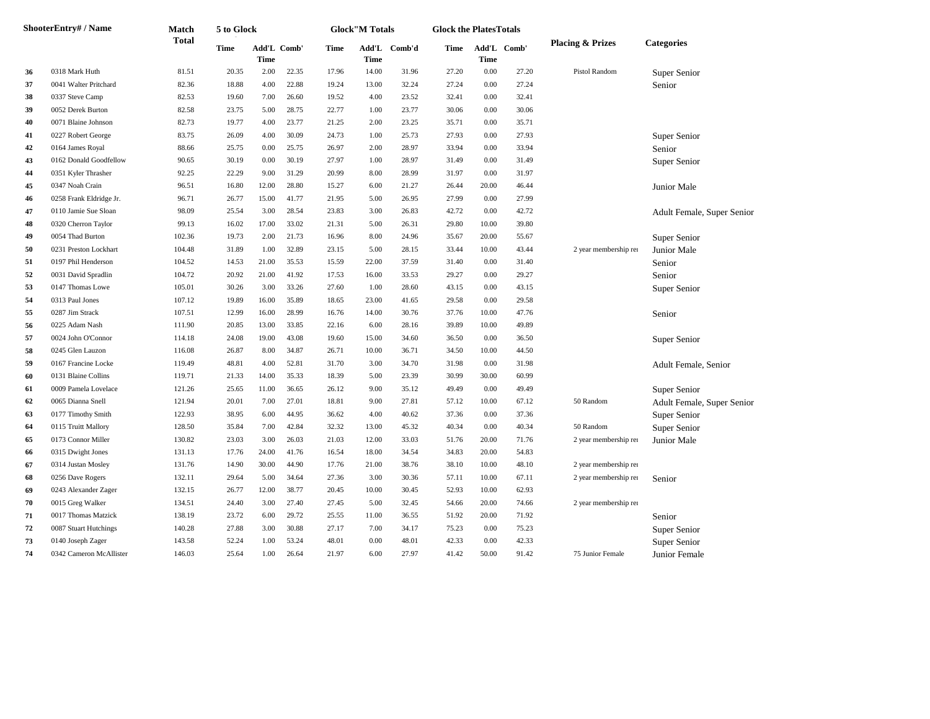|    | <b>ShooterEntry# / Name</b> | Match  | 5 to Glock  |                            |       |       | <b>Glock</b> "M Totals |              | <b>Glock the PlatesTotals</b> |          |             |                             |                            |
|----|-----------------------------|--------|-------------|----------------------------|-------|-------|------------------------|--------------|-------------------------------|----------|-------------|-----------------------------|----------------------------|
|    |                             | Total  | <b>Time</b> | Add'L Comb'<br><b>Time</b> |       | Time  | Time                   | Add'L Comb'd | Time                          | Time     | Add'L Comb' | <b>Placing &amp; Prizes</b> | Categories                 |
| 36 | 0318 Mark Huth              | 81.51  | 20.35       | 2.00                       | 22.35 | 17.96 | 14.00                  | 31.96        | 27.20                         | 0.00     | 27.20       | Pistol Random               | Super Senior               |
| 37 | 0041 Walter Pritchard       | 82.36  | 18.88       | 4.00                       | 22.88 | 19.24 | 13.00                  | 32.24        | 27.24                         | 0.00     | 27.24       |                             | Senior                     |
| 38 | 0337 Steve Camp             | 82.53  | 19.60       | 7.00                       | 26.60 | 19.52 | 4.00                   | 23.52        | 32.41                         | 0.00     | 32.41       |                             |                            |
| 39 | 0052 Derek Burton           | 82.58  | 23.75       | 5.00                       | 28.75 | 22.77 | 1.00                   | 23.77        | 30.06                         | 0.00     | 30.06       |                             |                            |
| 40 | 0071 Blaine Johnson         | 82.73  | 19.77       | 4.00                       | 23.77 | 21.25 | 2.00                   | 23.25        | 35.71                         | 0.00     | 35.71       |                             |                            |
| 41 | 0227 Robert George          | 83.75  | 26.09       | 4.00                       | 30.09 | 24.73 | 1.00                   | 25.73        | 27.93                         | 0.00     | 27.93       |                             | Super Senior               |
| 42 | 0164 James Royal            | 88.66  | 25.75       | 0.00                       | 25.75 | 26.97 | 2.00                   | 28.97        | 33.94                         | 0.00     | 33.94       |                             | Senior                     |
| 43 | 0162 Donald Goodfellow      | 90.65  | 30.19       | 0.00                       | 30.19 | 27.97 | 1.00                   | 28.97        | 31.49                         | 0.00     | 31.49       |                             | Super Senior               |
| 44 | 0351 Kyler Thrasher         | 92.25  | 22.29       | 9.00                       | 31.29 | 20.99 | 8.00                   | 28.99        | 31.97                         | 0.00     | 31.97       |                             |                            |
| 45 | 0347 Noah Crain             | 96.51  | 16.80       | 12.00                      | 28.80 | 15.27 | 6.00                   | 21.27        | 26.44                         | 20.00    | 46.44       |                             | Junior Male                |
| 46 | 0258 Frank Eldridge Jr.     | 96.71  | 26.77       | 15.00                      | 41.77 | 21.95 | 5.00                   | 26.95        | 27.99                         | 0.00     | 27.99       |                             |                            |
| 47 | 0110 Jamie Sue Sloan        | 98.09  | 25.54       | 3.00                       | 28.54 | 23.83 | 3.00                   | 26.83        | 42.72                         | $0.00\,$ | 42.72       |                             | Adult Female, Super Senior |
| 48 | 0320 Cherron Taylor         | 99.13  | 16.02       | 17.00                      | 33.02 | 21.31 | 5.00                   | 26.31        | 29.80                         | 10.00    | 39.80       |                             |                            |
| 49 | 0054 Thad Burton            | 102.36 | 19.73       | 2.00                       | 21.73 | 16.96 | 8.00                   | 24.96        | 35.67                         | 20.00    | 55.67       |                             | Super Senior               |
| 50 | 0231 Preston Lockhart       | 104.48 | 31.89       | 1.00                       | 32.89 | 23.15 | 5.00                   | 28.15        | 33.44                         | 10.00    | 43.44       | 2 year membership ren       | Junior Male                |
| 51 | 0197 Phil Henderson         | 104.52 | 14.53       | 21.00                      | 35.53 | 15.59 | 22.00                  | 37.59        | 31.40                         | 0.00     | 31.40       |                             | Senior                     |
| 52 | 0031 David Spradlin         | 104.72 | 20.92       | 21.00                      | 41.92 | 17.53 | 16.00                  | 33.53        | 29.27                         | 0.00     | 29.27       |                             | Senior                     |
| 53 | 0147 Thomas Lowe            | 105.01 | 30.26       | 3.00                       | 33.26 | 27.60 | 1.00                   | 28.60        | 43.15                         | 0.00     | 43.15       |                             | Super Senior               |
| 54 | 0313 Paul Jones             | 107.12 | 19.89       | 16.00                      | 35.89 | 18.65 | 23.00                  | 41.65        | 29.58                         | 0.00     | 29.58       |                             |                            |
| 55 | 0287 Jim Strack             | 107.51 | 12.99       | 16.00                      | 28.99 | 16.76 | 14.00                  | 30.76        | 37.76                         | 10.00    | 47.76       |                             | Senior                     |
| 56 | 0225 Adam Nash              | 111.90 | 20.85       | 13.00                      | 33.85 | 22.16 | 6.00                   | 28.16        | 39.89                         | 10.00    | 49.89       |                             |                            |
| 57 | 0024 John O'Connor          | 114.18 | 24.08       | 19.00                      | 43.08 | 19.60 | 15.00                  | 34.60        | 36.50                         | 0.00     | 36.50       |                             | Super Senior               |
| 58 | 0245 Glen Lauzon            | 116.08 | 26.87       | 8.00                       | 34.87 | 26.71 | 10.00                  | 36.71        | 34.50                         | 10.00    | 44.50       |                             |                            |
| 59 | 0167 Francine Locke         | 119.49 | 48.81       | 4.00                       | 52.81 | 31.70 | 3.00                   | 34.70        | 31.98                         | 0.00     | 31.98       |                             | Adult Female, Senior       |
| 60 | 0131 Blaine Collins         | 119.71 | 21.33       | 14.00                      | 35.33 | 18.39 | 5.00                   | 23.39        | 30.99                         | 30.00    | 60.99       |                             |                            |
| 61 | 0009 Pamela Lovelace        | 121.26 | 25.65       | 11.00                      | 36.65 | 26.12 | 9.00                   | 35.12        | 49.49                         | 0.00     | 49.49       |                             | Super Senior               |
| 62 | 0065 Dianna Snell           | 121.94 | 20.01       | 7.00                       | 27.01 | 18.81 | 9.00                   | 27.81        | 57.12                         | 10.00    | 67.12       | 50 Random                   | Adult Female, Super Senior |
| 63 | 0177 Timothy Smith          | 122.93 | 38.95       | 6.00                       | 44.95 | 36.62 | 4.00                   | 40.62        | 37.36                         | 0.00     | 37.36       |                             | Super Senior               |
| 64 | 0115 Truitt Mallory         | 128.50 | 35.84       | 7.00                       | 42.84 | 32.32 | 13.00                  | 45.32        | 40.34                         | 0.00     | 40.34       | 50 Random                   | Super Senior               |
| 65 | 0173 Connor Miller          | 130.82 | 23.03       | 3.00                       | 26.03 | 21.03 | 12.00                  | 33.03        | 51.76                         | 20.00    | 71.76       | 2 year membership ren       | <b>Junior Male</b>         |
| 66 | 0315 Dwight Jones           | 131.13 | 17.76       | 24.00                      | 41.76 | 16.54 | 18.00                  | 34.54        | 34.83                         | 20.00    | 54.83       |                             |                            |
| 67 | 0314 Justan Mosley          | 131.76 | 14.90       | 30.00                      | 44.90 | 17.76 | 21.00                  | 38.76        | 38.10                         | 10.00    | 48.10       | 2 year membership ren       |                            |
| 68 | 0256 Dave Rogers            | 132.11 | 29.64       | 5.00                       | 34.64 | 27.36 | 3.00                   | 30.36        | 57.11                         | 10.00    | 67.11       | 2 year membership ren       | Senior                     |
| 69 | 0243 Alexander Zager        | 132.15 | 26.77       | 12.00                      | 38.77 | 20.45 | 10.00                  | 30.45        | 52.93                         | 10.00    | 62.93       |                             |                            |
| 70 | 0015 Greg Walker            | 134.51 | 24.40       | 3.00                       | 27.40 | 27.45 | 5.00                   | 32.45        | 54.66                         | 20.00    | 74.66       | 2 year membership ren       |                            |
| 71 | 0017 Thomas Matzick         | 138.19 | 23.72       | 6.00                       | 29.72 | 25.55 | 11.00                  | 36.55        | 51.92                         | 20.00    | 71.92       |                             | Senior                     |
| 72 | 0087 Stuart Hutchings       | 140.28 | 27.88       | 3.00                       | 30.88 | 27.17 | 7.00                   | 34.17        | 75.23                         | 0.00     | 75.23       |                             | Super Senior               |
| 73 | 0140 Joseph Zager           | 143.58 | 52.24       | 1.00                       | 53.24 | 48.01 | 0.00                   | 48.01        | 42.33                         | 0.00     | 42.33       |                             | Super Senior               |
| 74 | 0342 Cameron McAllister     | 146.03 | 25.64       | 1.00                       | 26.64 | 21.97 | 6.00                   | 27.97        | 41.42                         | 50.00    | 91.42       | 75 Junior Female            | Junior Female              |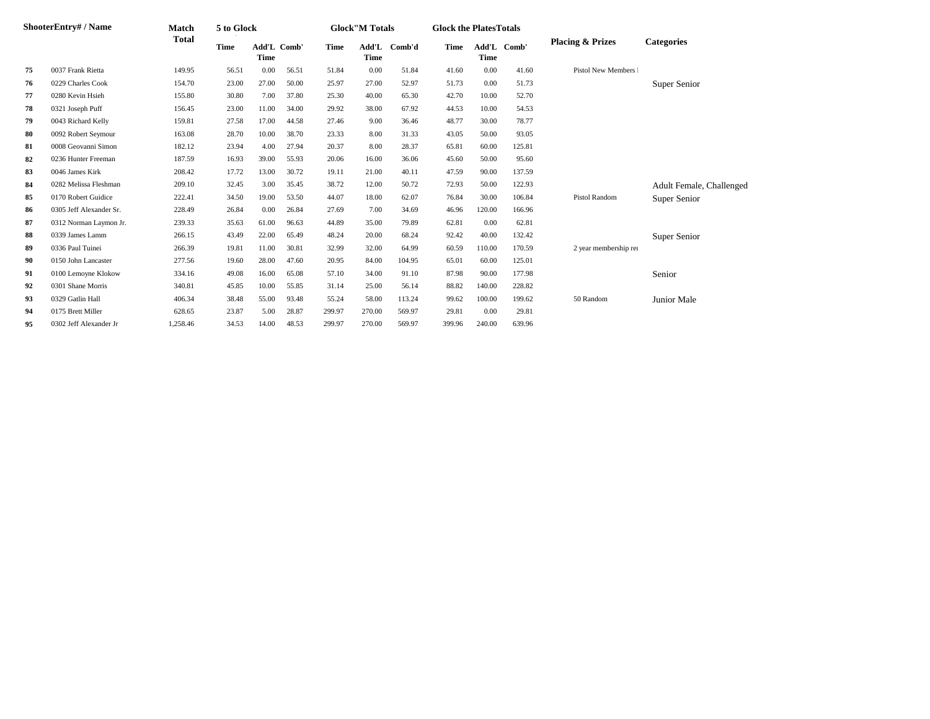| ShooterEntry#/Name | Match                   | 5 to Glock |             |                     |       | <b>Glock</b> "M Totals |             | <b>Glock the Plates Totals</b> |        |                     |        |                             |                          |
|--------------------|-------------------------|------------|-------------|---------------------|-------|------------------------|-------------|--------------------------------|--------|---------------------|--------|-----------------------------|--------------------------|
|                    |                         | Total      | <b>Time</b> | Add'L Comb'<br>Time |       | <b>Time</b>            | <b>Time</b> | Add'L Comb'd                   | Time   | Add'L Comb'<br>Time |        | <b>Placing &amp; Prizes</b> | <b>Categories</b>        |
| 75                 | 0037 Frank Rietta       | 149.95     | 56.51       | 0.00                | 56.51 | 51.84                  | 0.00        | 51.84                          | 41.60  | 0.00                | 41.60  | Pistol New Members I        |                          |
| 76                 | 0229 Charles Cook       | 154.70     | 23.00       | 27.00               | 50.00 | 25.97                  | 27.00       | 52.97                          | 51.73  | 0.00                | 51.73  |                             | Super Senior             |
| 77                 | 0280 Kevin Hsieh        | 155.80     | 30.80       | 7.00                | 37.80 | 25.30                  | 40.00       | 65.30                          | 42.70  | 10.00               | 52.70  |                             |                          |
| 78                 | 0321 Joseph Puff        | 156.45     | 23.00       | 11.00               | 34.00 | 29.92                  | 38.00       | 67.92                          | 44.53  | 10.00               | 54.53  |                             |                          |
| 79                 | 0043 Richard Kelly      | 159.81     | 27.58       | 17.00               | 44.58 | 27.46                  | 9.00        | 36.46                          | 48.77  | 30.00               | 78.77  |                             |                          |
| 80                 | 0092 Robert Seymour     | 163.08     | 28.70       | 10.00               | 38.70 | 23.33                  | 8.00        | 31.33                          | 43.05  | 50.00               | 93.05  |                             |                          |
| 81                 | 0008 Geovanni Simon     | 182.12     | 23.94       | 4.00                | 27.94 | 20.37                  | 8.00        | 28.37                          | 65.81  | 60.00               | 125.81 |                             |                          |
| 82                 | 0236 Hunter Freeman     | 187.59     | 16.93       | 39.00               | 55.93 | 20.06                  | 16.00       | 36.06                          | 45.60  | 50.00               | 95.60  |                             |                          |
| 83                 | 0046 James Kirk         | 208.42     | 17.72       | 13.00               | 30.72 | 19.11                  | 21.00       | 40.11                          | 47.59  | 90.00               | 137.59 |                             |                          |
| 84                 | 0282 Melissa Fleshman   | 209.10     | 32.45       | 3.00                | 35.45 | 38.72                  | 12.00       | 50.72                          | 72.93  | 50.00               | 122.93 |                             | Adult Female, Challenged |
| 85                 | 0170 Robert Guidice     | 222.41     | 34.50       | 19.00               | 53.50 | 44.07                  | 18.00       | 62.07                          | 76.84  | 30.00               | 106.84 | Pistol Random               | Super Senior             |
| 86                 | 0305 Jeff Alexander Sr. | 228.49     | 26.84       | 0.00                | 26.84 | 27.69                  | 7.00        | 34.69                          | 46.96  | 120.00              | 166.96 |                             |                          |
| 87                 | 0312 Norman Laymon Jr.  | 239.33     | 35.63       | 61.00               | 96.63 | 44.89                  | 35.00       | 79.89                          | 62.81  | 0.00                | 62.81  |                             |                          |
| 88                 | 0339 James Lamm         | 266.15     | 43.49       | 22.00               | 65.49 | 48.24                  | 20.00       | 68.24                          | 92.42  | 40.00               | 132.42 |                             | Super Senior             |
| 89                 | 0336 Paul Tuinei        | 266.39     | 19.81       | 11.00               | 30.81 | 32.99                  | 32.00       | 64.99                          | 60.59  | 110.00              | 170.59 | 2 year membership rei       |                          |
| 90                 | 0150 John Lancaster     | 277.56     | 19.60       | 28.00               | 47.60 | 20.95                  | 84.00       | 104.95                         | 65.01  | 60.00               | 125.01 |                             |                          |
| 91                 | 0100 Lemoyne Klokow     | 334.16     | 49.08       | 16.00               | 65.08 | 57.10                  | 34.00       | 91.10                          | 87.98  | 90.00               | 177.98 |                             | Senior                   |
| 92                 | 0301 Shane Morris       | 340.81     | 45.85       | 10.00               | 55.85 | 31.14                  | 25.00       | 56.14                          | 88.82  | 140.00              | 228.82 |                             |                          |
| 93                 | 0329 Gatlin Hall        | 406.34     | 38.48       | 55.00               | 93.48 | 55.24                  | 58.00       | 113.24                         | 99.62  | 100.00              | 199.62 | 50 Random                   | Junior Male              |
| 94                 | 0175 Brett Miller       | 628.65     | 23.87       | 5.00                | 28.87 | 299.97                 | 270.00      | 569.97                         | 29.81  | 0.00                | 29.81  |                             |                          |
| 95                 | 0302 Jeff Alexander Jr  | 1,258.46   | 34.53       | 14.00               | 48.53 | 299.97                 | 270.00      | 569.97                         | 399.96 | 240.00              | 639.96 |                             |                          |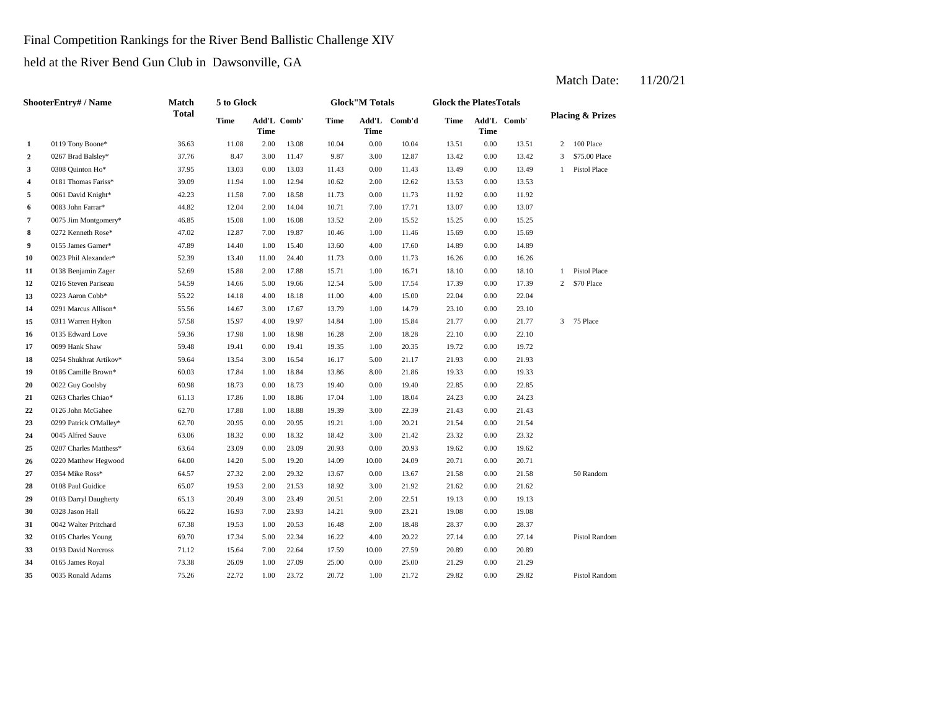Final Competition Rankings for the River Bend Ballistic Challenge XIV

held at the River Bend Gun Club in Dawsonville, GA

|                  | <b>ShooterEntry#/Name</b> | Match        | 5 to Glock |                     |       |       | <b>Glock</b> "M Totals |              | <b>Glock the PlatesTotals</b> |      |             |              |                             |
|------------------|---------------------------|--------------|------------|---------------------|-------|-------|------------------------|--------------|-------------------------------|------|-------------|--------------|-----------------------------|
|                  |                           | <b>Total</b> | Time       | Add'L Comb'<br>Time |       | Time  | Time                   | Add'L Comb'd | Time                          | Time | Add'L Comb' |              | <b>Placing &amp; Prizes</b> |
| 1                | 0119 Tony Boone*          | 36.63        | 11.08      | 2.00                | 13.08 | 10.04 | 0.00                   | 10.04        | 13.51                         | 0.00 | 13.51       | 2            | 100 Place                   |
| $\mathbf{2}$     | 0267 Brad Balsley*        | 37.76        | 8.47       | 3.00                | 11.47 | 9.87  | 3.00                   | 12.87        | 13.42                         | 0.00 | 13.42       | 3            | \$75,00 Place               |
| 3                | 0308 Quinton Ho*          | 37.95        | 13.03      | 0.00                | 13.03 | 11.43 | 0.00                   | 11.43        | 13.49                         | 0.00 | 13.49       | 1            | Pistol Place                |
| 4                | 0181 Thomas Fariss*       | 39.09        | 11.94      | 1.00                | 12.94 | 10.62 | 2.00                   | 12.62        | 13.53                         | 0.00 | 13.53       |              |                             |
| 5                | 0061 David Knight*        | 42.23        | 11.58      | 7.00                | 18.58 | 11.73 | 0.00                   | 11.73        | 11.92                         | 0.00 | 11.92       |              |                             |
| 6                | 0083 John Farrar*         | 44.82        | 12.04      | 2.00                | 14.04 | 10.71 | 7.00                   | 17.71        | 13.07                         | 0.00 | 13.07       |              |                             |
| 7                | 0075 Jim Montgomery*      | 46.85        | 15.08      | 1.00                | 16.08 | 13.52 | 2.00                   | 15.52        | 15.25                         | 0.00 | 15.25       |              |                             |
| 8                | 0272 Kenneth Rose*        | 47.02        | 12.87      | 7.00                | 19.87 | 10.46 | 1.00                   | 11.46        | 15.69                         | 0.00 | 15.69       |              |                             |
| $\boldsymbol{9}$ | 0155 James Garner*        | 47.89        | 14.40      | 1.00                | 15.40 | 13.60 | 4.00                   | 17.60        | 14.89                         | 0.00 | 14.89       |              |                             |
| 10               | 0023 Phil Alexander*      | 52.39        | 13.40      | 11.00               | 24.40 | 11.73 | 0.00                   | 11.73        | 16.26                         | 0.00 | 16.26       |              |                             |
| 11               | 0138 Benjamin Zager       | 52.69        | 15.88      | 2.00                | 17.88 | 15.71 | 1.00                   | 16.71        | 18.10                         | 0.00 | 18.10       | $\mathbf{1}$ | Pistol Place                |
| 12               | 0216 Steven Pariseau      | 54.59        | 14.66      | 5.00                | 19.66 | 12.54 | 5.00                   | 17.54        | 17.39                         | 0.00 | 17.39       | 2            | \$70 Place                  |
| 13               | 0223 Aaron Cobb*          | 55.22        | 14.18      | 4.00                | 18.18 | 11.00 | 4.00                   | 15.00        | 22.04                         | 0.00 | 22.04       |              |                             |
| 14               | 0291 Marcus Allison*      | 55.56        | 14.67      | 3.00                | 17.67 | 13.79 | 1.00                   | 14.79        | 23.10                         | 0.00 | 23.10       |              |                             |
| 15               | 0311 Warren Hylton        | 57.58        | 15.97      | 4.00                | 19.97 | 14.84 | 1.00                   | 15.84        | 21.77                         | 0.00 | 21.77       | 3            | 75 Place                    |
| 16               | 0135 Edward Love          | 59.36        | 17.98      | 1.00                | 18.98 | 16.28 | 2.00                   | 18.28        | 22.10                         | 0.00 | 22.10       |              |                             |
| 17               | 0099 Hank Shaw            | 59.48        | 19.41      | 0.00                | 19.41 | 19.35 | 1.00                   | 20.35        | 19.72                         | 0.00 | 19.72       |              |                             |
| 18               | 0254 Shukhrat Artikov*    | 59.64        | 13.54      | 3.00                | 16.54 | 16.17 | 5.00                   | 21.17        | 21.93                         | 0.00 | 21.93       |              |                             |
| 19               | 0186 Camille Brown*       | 60.03        | 17.84      | 1.00                | 18.84 | 13.86 | 8.00                   | 21.86        | 19.33                         | 0.00 | 19.33       |              |                             |
| 20               | 0022 Guy Goolsby          | 60.98        | 18.73      | 0.00                | 18.73 | 19.40 | 0.00                   | 19.40        | 22.85                         | 0.00 | 22.85       |              |                             |
| 21               | 0263 Charles Chiao*       | 61.13        | 17.86      | 1.00                | 18.86 | 17.04 | 1.00                   | 18.04        | 24.23                         | 0.00 | 24.23       |              |                             |
| 22               | 0126 John McGahee         | 62.70        | 17.88      | 1.00                | 18.88 | 19.39 | 3.00                   | 22.39        | 21.43                         | 0.00 | 21.43       |              |                             |
| 23               | 0299 Patrick O'Malley*    | 62.70        | 20.95      | 0.00                | 20.95 | 19.21 | 1.00                   | 20.21        | 21.54                         | 0.00 | 21.54       |              |                             |
| 24               | 0045 Alfred Sauve         | 63.06        | 18.32      | 0.00                | 18.32 | 18.42 | 3.00                   | 21.42        | 23.32                         | 0.00 | 23.32       |              |                             |
| 25               | 0207 Charles Matthess*    | 63.64        | 23.09      | 0.00                | 23.09 | 20.93 | 0.00                   | 20.93        | 19.62                         | 0.00 | 19.62       |              |                             |
| 26               | 0220 Matthew Hegwood      | 64.00        | 14.20      | 5.00                | 19.20 | 14.09 | 10.00                  | 24.09        | 20.71                         | 0.00 | 20.71       |              |                             |
| 27               | 0354 Mike Ross*           | 64.57        | 27.32      | 2.00                | 29.32 | 13.67 | 0.00                   | 13.67        | 21.58                         | 0.00 | 21.58       |              | 50 Random                   |
| 28               | 0108 Paul Guidice         | 65.07        | 19.53      | 2.00                | 21.53 | 18.92 | 3.00                   | 21.92        | 21.62                         | 0.00 | 21.62       |              |                             |
| 29               | 0103 Darryl Daugherty     | 65.13        | 20.49      | 3.00                | 23.49 | 20.51 | 2.00                   | 22.51        | 19.13                         | 0.00 | 19.13       |              |                             |
| 30               | 0328 Jason Hall           | 66.22        | 16.93      | 7.00                | 23.93 | 14.21 | 9.00                   | 23.21        | 19.08                         | 0.00 | 19.08       |              |                             |
| 31               | 0042 Walter Pritchard     | 67.38        | 19.53      | 1.00                | 20.53 | 16.48 | 2.00                   | 18.48        | 28.37                         | 0.00 | 28.37       |              |                             |
| 32               | 0105 Charles Young        | 69.70        | 17.34      | 5.00                | 22.34 | 16.22 | 4.00                   | 20.22        | 27.14                         | 0.00 | 27.14       |              | Pistol Random               |
| 33               | 0193 David Norcross       | 71.12        | 15.64      | 7.00                | 22.64 | 17.59 | 10.00                  | 27.59        | 20.89                         | 0.00 | 20.89       |              |                             |
| 34               | 0165 James Royal          | 73.38        | 26.09      | 1.00                | 27.09 | 25.00 | 0.00                   | 25.00        | 21.29                         | 0.00 | 21.29       |              |                             |
| 35               | 0035 Ronald Adams         | 75.26        | 22.72      | 1.00                | 23.72 | 20.72 | 1.00                   | 21.72        | 29.82                         | 0.00 | 29.82       |              | Pistol Random               |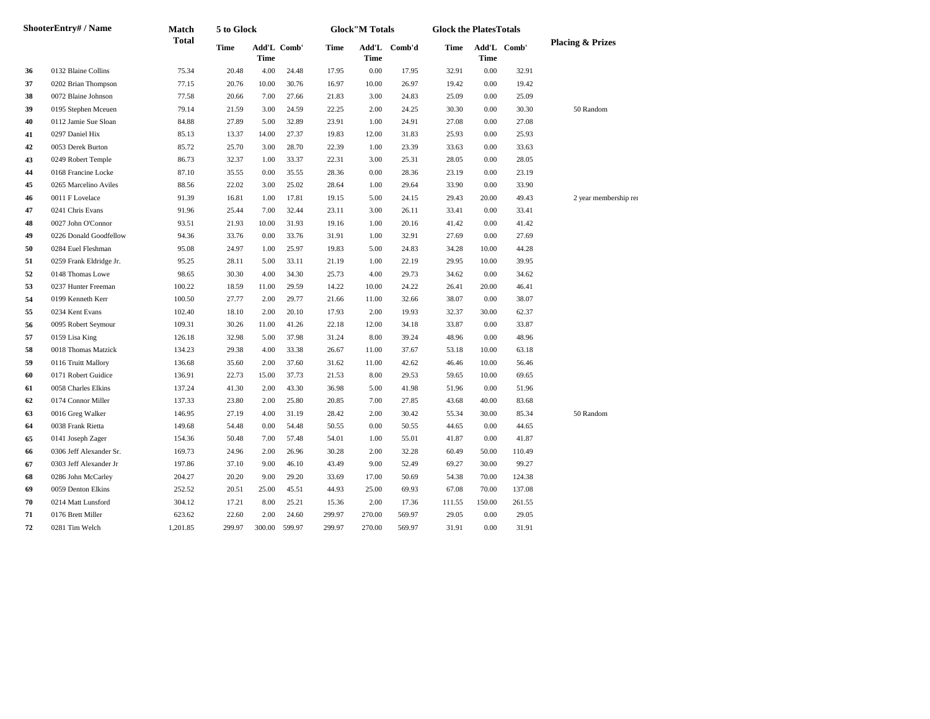|    | ShooterEntry# / Name    | Match        | 5 to Glock |                            |        |        | <b>Glock</b> "M Totals |              | <b>Glock the PlatesTotals</b> |                            |        |                             |
|----|-------------------------|--------------|------------|----------------------------|--------|--------|------------------------|--------------|-------------------------------|----------------------------|--------|-----------------------------|
|    |                         | <b>Total</b> | Time       | Add'L Comb'<br><b>Time</b> |        | Time   | <b>Time</b>            | Add'L Comb'd | Time                          | Add'L Comb'<br><b>Time</b> |        | <b>Placing &amp; Prizes</b> |
| 36 | 0132 Blaine Collins     | 75.34        | 20.48      | 4.00                       | 24.48  | 17.95  | 0.00                   | 17.95        | 32.91                         | $0.00\,$                   | 32.91  |                             |
| 37 | 0202 Brian Thompson     | 77.15        | 20.76      | 10.00                      | 30.76  | 16.97  | 10.00                  | 26.97        | 19.42                         | 0.00                       | 19.42  |                             |
| 38 | 0072 Blaine Johnson     | 77.58        | 20.66      | 7.00                       | 27.66  | 21.83  | 3.00                   | 24.83        | 25.09                         | 0.00                       | 25.09  |                             |
| 39 | 0195 Stephen Mceuen     | 79.14        | 21.59      | 3.00                       | 24.59  | 22.25  | 2.00                   | 24.25        | 30.30                         | 0.00                       | 30.30  | 50 Random                   |
| 40 | 0112 Jamie Sue Sloan    | 84.88        | 27.89      | 5.00                       | 32.89  | 23.91  | 1.00                   | 24.91        | 27.08                         | 0.00                       | 27.08  |                             |
| 41 | 0297 Daniel Hix         | 85.13        | 13.37      | 14.00                      | 27.37  | 19.83  | 12.00                  | 31.83        | 25.93                         | 0.00                       | 25.93  |                             |
| 42 | 0053 Derek Burton       | 85.72        | 25.70      | 3.00                       | 28.70  | 22.39  | 1.00                   | 23.39        | 33.63                         | 0.00                       | 33.63  |                             |
| 43 | 0249 Robert Temple      | 86.73        | 32.37      | 1.00                       | 33.37  | 22.31  | 3.00                   | 25.31        | 28.05                         | 0.00                       | 28.05  |                             |
| 44 | 0168 Francine Locke     | 87.10        | 35.55      | 0.00                       | 35.55  | 28.36  | 0.00                   | 28.36        | 23.19                         | 0.00                       | 23.19  |                             |
| 45 | 0265 Marcelino Aviles   | 88.56        | 22.02      | 3.00                       | 25.02  | 28.64  | 1.00                   | 29.64        | 33.90                         | 0.00                       | 33.90  |                             |
| 46 | 0011 F Lovelace         | 91.39        | 16.81      | 1.00                       | 17.81  | 19.15  | 5.00                   | 24.15        | 29.43                         | 20.00                      | 49.43  | 2 year membership ren       |
| 47 | 0241 Chris Evans        | 91.96        | 25.44      | 7.00                       | 32.44  | 23.11  | 3.00                   | 26.11        | 33.41                         | 0.00                       | 33.41  |                             |
| 48 | 0027 John O'Connor      | 93.51        | 21.93      | 10.00                      | 31.93  | 19.16  | 1.00                   | 20.16        | 41.42                         | 0.00                       | 41.42  |                             |
| 49 | 0226 Donald Goodfellow  | 94.36        | 33.76      | 0.00                       | 33.76  | 31.91  | 1.00                   | 32.91        | 27.69                         | 0.00                       | 27.69  |                             |
| 50 | 0284 Euel Fleshman      | 95.08        | 24.97      | 1.00                       | 25.97  | 19.83  | 5.00                   | 24.83        | 34.28                         | 10.00                      | 44.28  |                             |
| 51 | 0259 Frank Eldridge Jr. | 95.25        | 28.11      | 5.00                       | 33.11  | 21.19  | 1.00                   | 22.19        | 29.95                         | 10.00                      | 39.95  |                             |
| 52 | 0148 Thomas Lowe        | 98.65        | 30.30      | 4.00                       | 34.30  | 25.73  | 4.00                   | 29.73        | 34.62                         | 0.00                       | 34.62  |                             |
| 53 | 0237 Hunter Freeman     | 100.22       | 18.59      | 11.00                      | 29.59  | 14.22  | 10.00                  | 24.22        | 26.41                         | 20.00                      | 46.41  |                             |
| 54 | 0199 Kenneth Kerr       | 100.50       | 27.77      | 2.00                       | 29.77  | 21.66  | 11.00                  | 32.66        | 38.07                         | 0.00                       | 38.07  |                             |
| 55 | 0234 Kent Evans         | 102.40       | 18.10      | 2.00                       | 20.10  | 17.93  | 2.00                   | 19.93        | 32.37                         | 30.00                      | 62.37  |                             |
| 56 | 0095 Robert Seymour     | 109.31       | 30.26      | 11.00                      | 41.26  | 22.18  | 12.00                  | 34.18        | 33.87                         | 0.00                       | 33.87  |                             |
| 57 | 0159 Lisa King          | 126.18       | 32.98      | 5.00                       | 37.98  | 31.24  | 8.00                   | 39.24        | 48.96                         | 0.00                       | 48.96  |                             |
| 58 | 0018 Thomas Matzick     | 134.23       | 29.38      | 4.00                       | 33.38  | 26.67  | 11.00                  | 37.67        | 53.18                         | 10.00                      | 63.18  |                             |
| 59 | 0116 Truitt Mallory     | 136.68       | 35.60      | 2.00                       | 37.60  | 31.62  | 11.00                  | 42.62        | 46.46                         | 10.00                      | 56.46  |                             |
| 60 | 0171 Robert Guidice     | 136.91       | 22.73      | 15.00                      | 37.73  | 21.53  | 8.00                   | 29.53        | 59.65                         | 10.00                      | 69.65  |                             |
| 61 | 0058 Charles Elkins     | 137.24       | 41.30      | 2.00                       | 43.30  | 36.98  | 5.00                   | 41.98        | 51.96                         | 0.00                       | 51.96  |                             |
| 62 | 0174 Connor Miller      | 137.33       | 23.80      | 2.00                       | 25.80  | 20.85  | 7.00                   | 27.85        | 43.68                         | 40.00                      | 83.68  |                             |
| 63 | 0016 Greg Walker        | 146.95       | 27.19      | 4.00                       | 31.19  | 28.42  | 2.00                   | 30.42        | 55.34                         | 30.00                      | 85.34  | 50 Random                   |
| 64 | 0038 Frank Rietta       | 149.68       | 54.48      | 0.00                       | 54.48  | 50.55  | 0.00                   | 50.55        | 44.65                         | 0.00                       | 44.65  |                             |
| 65 | 0141 Joseph Zager       | 154.36       | 50.48      | 7.00                       | 57.48  | 54.01  | 1.00                   | 55.01        | 41.87                         | 0.00                       | 41.87  |                             |
| 66 | 0306 Jeff Alexander Sr. | 169.73       | 24.96      | 2.00                       | 26.96  | 30.28  | 2.00                   | 32.28        | 60.49                         | 50.00                      | 110.49 |                             |
| 67 | 0303 Jeff Alexander Jr  | 197.86       | 37.10      | 9.00                       | 46.10  | 43.49  | 9.00                   | 52.49        | 69.27                         | 30.00                      | 99.27  |                             |
| 68 | 0286 John McCarley      | 204.27       | 20.20      | 9.00                       | 29.20  | 33.69  | 17.00                  | 50.69        | 54.38                         | 70.00                      | 124.38 |                             |
| 69 | 0059 Denton Elkins      | 252.52       | 20.51      | 25.00                      | 45.51  | 44.93  | 25.00                  | 69.93        | 67.08                         | 70.00                      | 137.08 |                             |
| 70 | 0214 Matt Lunsford      | 304.12       | 17.21      | 8.00                       | 25.21  | 15.36  | 2.00                   | 17.36        | 111.55                        | 150.00                     | 261.55 |                             |
| 71 | 0176 Brett Miller       | 623.62       | 22.60      | 2.00                       | 24.60  | 299.97 | 270.00                 | 569.97       | 29.05                         | 0.00                       | 29.05  |                             |
| 72 | 0281 Tim Welch          | 1,201.85     | 299.97     | 300.00                     | 599.97 | 299.97 | 270.00                 | 569.97       | 31.91                         | 0.00                       | 31.91  |                             |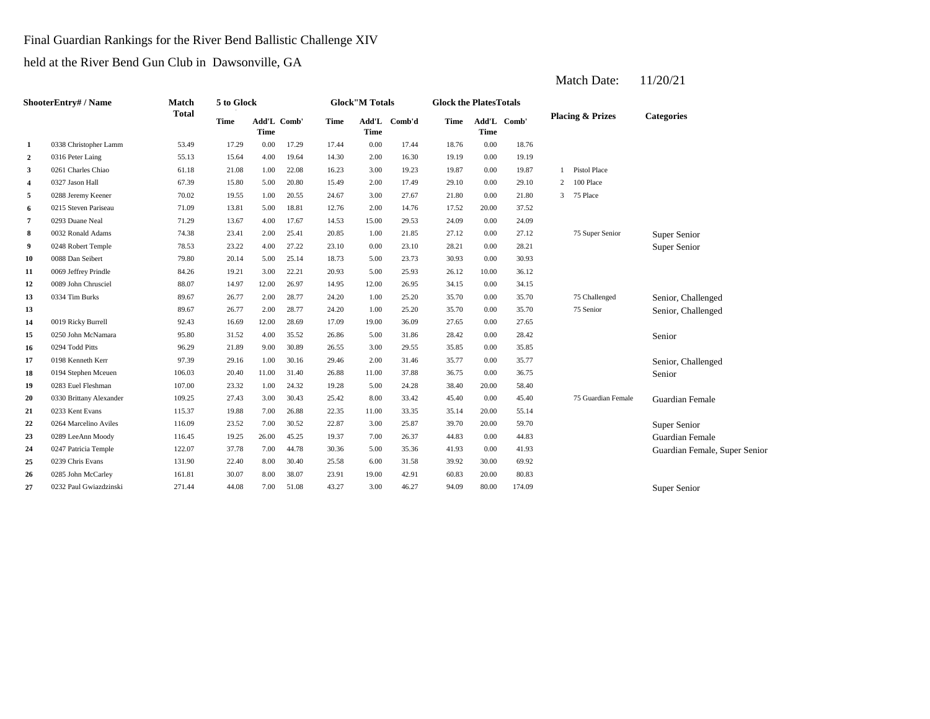Final Guardian Rankings for the River Bend Ballistic Challenge XIV

held at the River Bend Gun Club in Dawsonville, GA

| ShooterEntry# / Name    |                         | Match        | 5 to Glock  |                            |       | <b>Glock"M Totals</b> |                      |        |       | <b>Glock the PlatesTotals</b> |             |                             |                    |                               |  |  |
|-------------------------|-------------------------|--------------|-------------|----------------------------|-------|-----------------------|----------------------|--------|-------|-------------------------------|-------------|-----------------------------|--------------------|-------------------------------|--|--|
|                         |                         | <b>Total</b> | <b>Time</b> | Add'L Comb'<br><b>Time</b> |       | <b>Time</b>           | Add'L<br><b>Time</b> | Comb'd | Time  | <b>Time</b>                   | Add'L Comb' | <b>Placing &amp; Prizes</b> |                    | <b>Categories</b>             |  |  |
| 1                       | 0338 Christopher Lamm   | 53.49        | 17.29       | 0.00                       | 17.29 | 17.44                 | 0.00                 | 17.44  | 18.76 | 0.00                          | 18.76       |                             |                    |                               |  |  |
| $\mathbf{2}$            | 0316 Peter Laing        | 55.13        | 15.64       | 4.00                       | 19.64 | 14.30                 | 2.00                 | 16.30  | 19.19 | 0.00                          | 19.19       |                             |                    |                               |  |  |
| 3                       | 0261 Charles Chiao      | 61.18        | 21.08       | 1.00                       | 22.08 | 16.23                 | 3.00                 | 19.23  | 19.87 | 0.00                          | 19.87       | $\mathbf{1}$                | Pistol Place       |                               |  |  |
| $\overline{\mathbf{4}}$ | 0327 Jason Hall         | 67.39        | 15.80       | 5.00                       | 20.80 | 15.49                 | 2.00                 | 17.49  | 29.10 | 0.00                          | 29.10       | 2                           | 100 Place          |                               |  |  |
| 5                       | 0288 Jeremy Keener      | 70.02        | 19.55       | 1.00                       | 20.55 | 24.67                 | 3.00                 | 27.67  | 21.80 | 0.00                          | 21.80       | 3                           | 75 Place           |                               |  |  |
| 6                       | 0215 Steven Pariseau    | 71.09        | 13.81       | 5.00                       | 18.81 | 12.76                 | 2.00                 | 14.76  | 17.52 | 20.00                         | 37.52       |                             |                    |                               |  |  |
| 7                       | 0293 Duane Neal         | 71.29        | 13.67       | 4.00                       | 17.67 | 14.53                 | 15.00                | 29.53  | 24.09 | 0.00                          | 24.09       |                             |                    |                               |  |  |
| 8                       | 0032 Ronald Adams       | 74.38        | 23.41       | 2.00                       | 25.41 | 20.85                 | 1.00                 | 21.85  | 27.12 | 0.00                          | 27.12       |                             | 75 Super Senior    | Super Senior                  |  |  |
| 9                       | 0248 Robert Temple      | 78.53        | 23.22       | 4.00                       | 27.22 | 23.10                 | 0.00                 | 23.10  | 28.21 | 0.00                          | 28.21       |                             |                    | Super Senior                  |  |  |
| 10                      | 0088 Dan Seibert        | 79.80        | 20.14       | 5.00                       | 25.14 | 18.73                 | 5.00                 | 23.73  | 30.93 | 0.00                          | 30.93       |                             |                    |                               |  |  |
| 11                      | 0069 Jeffrey Prindle    | 84.26        | 19.21       | 3.00                       | 22.21 | 20.93                 | 5.00                 | 25.93  | 26.12 | 10.00                         | 36.12       |                             |                    |                               |  |  |
| 12                      | 0089 John Chrusciel     | 88.07        | 14.97       | 12.00                      | 26.97 | 14.95                 | 12.00                | 26.95  | 34.15 | 0.00                          | 34.15       |                             |                    |                               |  |  |
| 13                      | 0334 Tim Burks          | 89.67        | 26.77       | 2.00                       | 28.77 | 24.20                 | 1.00                 | 25.20  | 35.70 | 0.00                          | 35.70       |                             | 75 Challenged      | Senior, Challenged            |  |  |
| 13                      |                         | 89.67        | 26.77       | 2.00                       | 28.77 | 24.20                 | 1.00                 | 25.20  | 35.70 | 0.00                          | 35.70       |                             | 75 Senior          | Senior, Challenged            |  |  |
| 14                      | 0019 Ricky Burrell      | 92.43        | 16.69       | 12.00                      | 28.69 | 17.09                 | 19.00                | 36.09  | 27.65 | 0.00                          | 27.65       |                             |                    |                               |  |  |
| 15                      | 0250 John McNamara      | 95.80        | 31.52       | 4.00                       | 35.52 | 26.86                 | 5.00                 | 31.86  | 28.42 | 0.00                          | 28.42       |                             |                    | Senior                        |  |  |
| 16                      | 0294 Todd Pitts         | 96.29        | 21.89       | 9.00                       | 30.89 | 26.55                 | 3.00                 | 29.55  | 35.85 | 0.00                          | 35.85       |                             |                    |                               |  |  |
| 17                      | 0198 Kenneth Kerr       | 97.39        | 29.16       | 1.00                       | 30.16 | 29.46                 | 2.00                 | 31.46  | 35.77 | 0.00                          | 35.77       |                             |                    | Senior, Challenged            |  |  |
| 18                      | 0194 Stephen Mceuen     | 106.03       | 20.40       | 11.00                      | 31.40 | 26.88                 | 11.00                | 37.88  | 36.75 | 0.00                          | 36.75       |                             |                    | Senior                        |  |  |
| 19                      | 0283 Euel Fleshman      | 107.00       | 23.32       | 1.00                       | 24.32 | 19.28                 | 5.00                 | 24.28  | 38.40 | 20.00                         | 58.40       |                             |                    |                               |  |  |
| 20                      | 0330 Brittany Alexander | 109.25       | 27.43       | 3.00                       | 30.43 | 25.42                 | 8.00                 | 33.42  | 45.40 | 0.00                          | 45.40       |                             | 75 Guardian Female | Guardian Female               |  |  |
| 21                      | 0233 Kent Evans         | 115.37       | 19.88       | 7.00                       | 26.88 | 22.35                 | 11.00                | 33.35  | 35.14 | 20.00                         | 55.14       |                             |                    |                               |  |  |
| 22                      | 0264 Marcelino Aviles   | 116.09       | 23.52       | 7.00                       | 30.52 | 22.87                 | 3.00                 | 25.87  | 39.70 | 20.00                         | 59.70       |                             |                    | Super Senior                  |  |  |
| 23                      | 0289 LeeAnn Moody       | 116.45       | 19.25       | 26.00                      | 45.25 | 19.37                 | 7.00                 | 26.37  | 44.83 | 0.00                          | 44.83       |                             |                    | Guardian Female               |  |  |
| 24                      | 0247 Patricia Temple    | 122.07       | 37.78       | 7.00                       | 44.78 | 30.36                 | 5.00                 | 35.36  | 41.93 | 0.00                          | 41.93       |                             |                    | Guardian Female, Super Senior |  |  |
| 25                      | 0239 Chris Evans        | 131.90       | 22.40       | 8.00                       | 30.40 | 25.58                 | 6.00                 | 31.58  | 39.92 | 30.00                         | 69.92       |                             |                    |                               |  |  |
| 26                      | 0285 John McCarley      | 161.81       | 30.07       | 8.00                       | 38.07 | 23.91                 | 19.00                | 42.91  | 60.83 | 20.00                         | 80.83       |                             |                    |                               |  |  |
| 27                      | 0232 Paul Gwiazdzinski  | 271.44       | 44.08       | 7.00                       | 51.08 | 43.27                 | 3.00                 | 46.27  | 94.09 | 80.00                         | 174.09      |                             |                    | <b>Super Senior</b>           |  |  |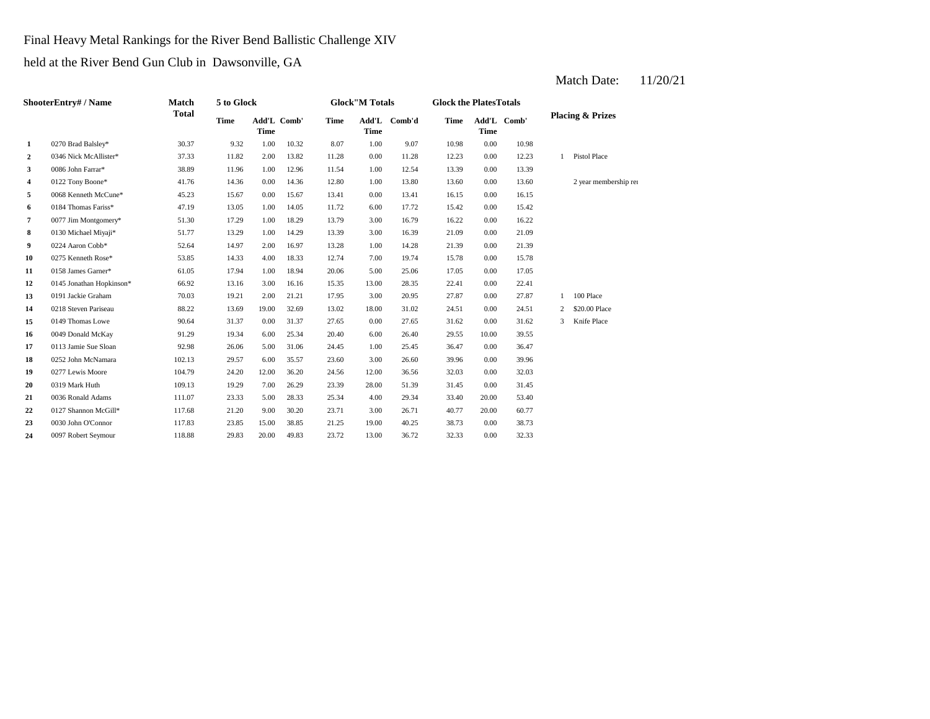Final Heavy Metal Rankings for the River Bend Ballistic Challenge XIV

held at the River Bend Gun Club in Dawsonville, GA

| ShooterEntry# / Name |                          | Match        | 5 to Glock  |             |             |             | <b>Glock"M Totals</b> |              | <b>Glock the PlatesTotals</b> |             |             |                             |                       |
|----------------------|--------------------------|--------------|-------------|-------------|-------------|-------------|-----------------------|--------------|-------------------------------|-------------|-------------|-----------------------------|-----------------------|
|                      |                          | <b>Total</b> | <b>Time</b> | <b>Time</b> | Add'L Comb' | <b>Time</b> | <b>Time</b>           | Add'L Comb'd | <b>Time</b>                   | <b>Time</b> | Add'L Comb' | <b>Placing &amp; Prizes</b> |                       |
| 1                    | 0270 Brad Balsley*       | 30.37        | 9.32        | 1.00        | 10.32       | 8.07        | 1.00                  | 9.07         | 10.98                         | 0.00        | 10.98       |                             |                       |
| $\boldsymbol{2}$     | 0346 Nick McAllister*    | 37.33        | 11.82       | 2.00        | 13.82       | 11.28       | 0.00                  | 11.28        | 12.23                         | 0.00        | 12.23       | $\mathbf{1}$                | Pistol Place          |
| 3                    | 0086 John Farrar*        | 38.89        | 11.96       | 1.00        | 12.96       | 11.54       | 1.00                  | 12.54        | 13.39                         | 0.00        | 13.39       |                             |                       |
| 4                    | 0122 Tony Boone*         | 41.76        | 14.36       | 0.00        | 14.36       | 12.80       | 1.00                  | 13.80        | 13.60                         | 0.00        | 13.60       |                             | 2 year membership ren |
| 5                    | 0068 Kenneth McCune*     | 45.23        | 15.67       | 0.00        | 15.67       | 13.41       | 0.00                  | 13.41        | 16.15                         | 0.00        | 16.15       |                             |                       |
| 6                    | 0184 Thomas Fariss*      | 47.19        | 13.05       | 1.00        | 14.05       | 11.72       | 6.00                  | 17.72        | 15.42                         | 0.00        | 15.42       |                             |                       |
| 7                    | 0077 Jim Montgomery*     | 51.30        | 17.29       | 1.00        | 18.29       | 13.79       | 3.00                  | 16.79        | 16.22                         | 0.00        | 16.22       |                             |                       |
| 8                    | 0130 Michael Miyaji*     | 51.77        | 13.29       | 1.00        | 14.29       | 13.39       | 3.00                  | 16.39        | 21.09                         | 0.00        | 21.09       |                             |                       |
| 9                    | 0224 Aaron Cobb*         | 52.64        | 14.97       | 2.00        | 16.97       | 13.28       | 1.00                  | 14.28        | 21.39                         | 0.00        | 21.39       |                             |                       |
| 10                   | 0275 Kenneth Rose*       | 53.85        | 14.33       | 4.00        | 18.33       | 12.74       | 7.00                  | 19.74        | 15.78                         | 0.00        | 15.78       |                             |                       |
| 11                   | 0158 James Garner*       | 61.05        | 17.94       | 1.00        | 18.94       | 20.06       | 5.00                  | 25.06        | 17.05                         | 0.00        | 17.05       |                             |                       |
| 12                   | 0145 Jonathan Hopkinson* | 66.92        | 13.16       | 3.00        | 16.16       | 15.35       | 13.00                 | 28.35        | 22.41                         | 0.00        | 22.41       |                             |                       |
| 13                   | 0191 Jackie Graham       | 70.03        | 19.21       | 2.00        | 21.21       | 17.95       | 3.00                  | 20.95        | 27.87                         | 0.00        | 27.87       | $\mathbf{1}$                | 100 Place             |
| 14                   | 0218 Steven Pariseau     | 88.22        | 13.69       | 19.00       | 32.69       | 13.02       | 18.00                 | 31.02        | 24.51                         | 0.00        | 24.51       | 2                           | \$20.00 Place         |
| 15                   | 0149 Thomas Lowe         | 90.64        | 31.37       | 0.00        | 31.37       | 27.65       | 0.00                  | 27.65        | 31.62                         | 0.00        | 31.62       | 3                           | Knife Place           |
| 16                   | 0049 Donald McKay        | 91.29        | 19.34       | 6.00        | 25.34       | 20.40       | 6.00                  | 26.40        | 29.55                         | 10.00       | 39.55       |                             |                       |
| 17                   | 0113 Jamie Sue Sloan     | 92.98        | 26.06       | 5.00        | 31.06       | 24.45       | 1.00                  | 25.45        | 36.47                         | 0.00        | 36.47       |                             |                       |
| 18                   | 0252 John McNamara       | 102.13       | 29.57       | 6.00        | 35.57       | 23.60       | 3.00                  | 26.60        | 39.96                         | 0.00        | 39.96       |                             |                       |
| 19                   | 0277 Lewis Moore         | 104.79       | 24.20       | 12.00       | 36.20       | 24.56       | 12.00                 | 36.56        | 32.03                         | 0.00        | 32.03       |                             |                       |
| 20                   | 0319 Mark Huth           | 109.13       | 19.29       | 7.00        | 26.29       | 23.39       | 28.00                 | 51.39        | 31.45                         | 0.00        | 31.45       |                             |                       |
| 21                   | 0036 Ronald Adams        | 111.07       | 23.33       | 5.00        | 28.33       | 25.34       | 4.00                  | 29.34        | 33.40                         | 20.00       | 53.40       |                             |                       |
| 22                   | 0127 Shannon McGill*     | 117.68       | 21.20       | 9.00        | 30.20       | 23.71       | 3.00                  | 26.71        | 40.77                         | 20.00       | 60.77       |                             |                       |
| 23                   | 0030 John O'Connor       | 117.83       | 23.85       | 15.00       | 38.85       | 21.25       | 19.00                 | 40.25        | 38.73                         | 0.00        | 38.73       |                             |                       |
| 24                   | 0097 Robert Seymour      | 118.88       | 29.83       | 20.00       | 49.83       | 23.72       | 13.00                 | 36.72        | 32.33                         | 0.00        | 32.33       |                             |                       |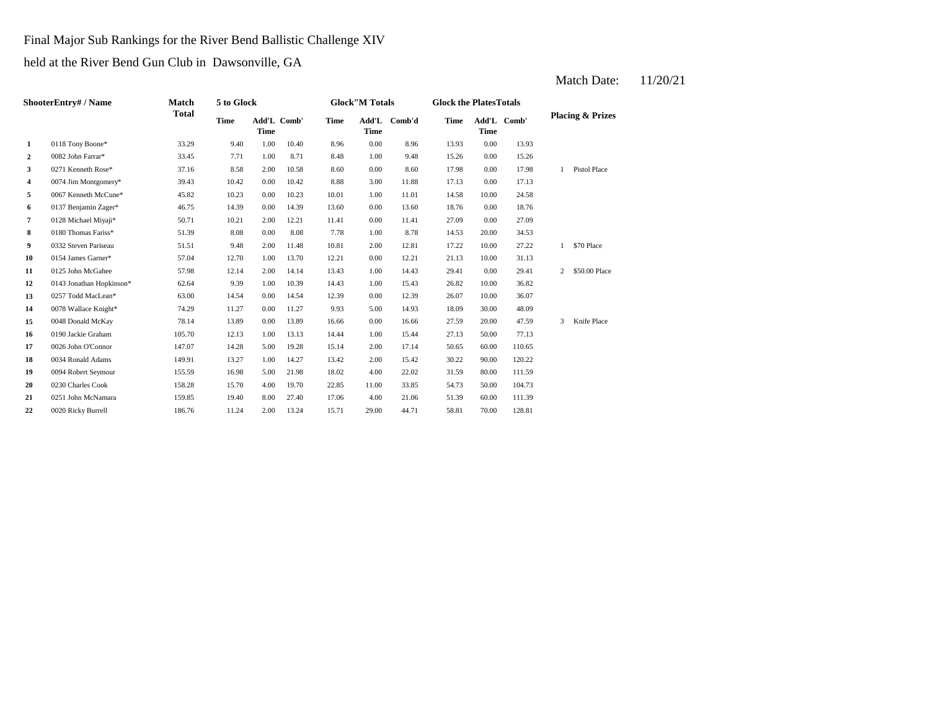Final Major Sub Rankings for the River Bend Ballistic Challenge XIV

held at the River Bend Gun Club in Dawsonville, GA

| ShooterEntry# / Name |                          | Match        | 5 to Glock                 |      |             |             | <b>Glock"M Totals</b> |        | <b>Glock the Plates Totals</b> |             |             |                             |               |
|----------------------|--------------------------|--------------|----------------------------|------|-------------|-------------|-----------------------|--------|--------------------------------|-------------|-------------|-----------------------------|---------------|
|                      |                          | <b>Total</b> | <b>Time</b><br><b>Time</b> |      | Add'L Comb' | <b>Time</b> | Add'L<br><b>Time</b>  | Comb'd | <b>Time</b>                    | <b>Time</b> | Add'L Comb' | <b>Placing &amp; Prizes</b> |               |
| 1                    | 0118 Tony Boone*         | 33.29        | 9.40                       | 1.00 | 10.40       | 8.96        | 0.00                  | 8.96   | 13.93                          | 0.00        | 13.93       |                             |               |
| $\mathbf{2}$         | 0082 John Farrar*        | 33.45        | 7.71                       | 1.00 | 8.71        | 8.48        | 1.00                  | 9.48   | 15.26                          | 0.00        | 15.26       |                             |               |
| 3                    | 0271 Kenneth Rose*       | 37.16        | 8.58                       | 2.00 | 10.58       | 8.60        | 0.00                  | 8.60   | 17.98                          | 0.00        | 17.98       | $\mathbf{1}$                | Pistol Place  |
| 4                    | 0074 Jim Montgomery*     | 39.43        | 10.42                      | 0.00 | 10.42       | 8.88        | 3.00                  | 11.88  | 17.13                          | 0.00        | 17.13       |                             |               |
| 5                    | 0067 Kenneth McCune*     | 45.82        | 10.23                      | 0.00 | 10.23       | 10.01       | 1.00                  | 11.01  | 14.58                          | 10.00       | 24.58       |                             |               |
| 6                    | 0137 Benjamin Zager*     | 46.75        | 14.39                      | 0.00 | 14.39       | 13.60       | 0.00                  | 13.60  | 18.76                          | 0.00        | 18.76       |                             |               |
| 7                    | 0128 Michael Miyaji*     | 50.71        | 10.21                      | 2.00 | 12.21       | 11.41       | 0.00                  | 11.41  | 27.09                          | 0.00        | 27.09       |                             |               |
| 8                    | 0180 Thomas Fariss*      | 51.39        | 8.08                       | 0.00 | 8.08        | 7.78        | 1.00                  | 8.78   | 14.53                          | 20.00       | 34.53       |                             |               |
| 9                    | 0332 Steven Pariseau     | 51.51        | 9.48                       | 2.00 | 11.48       | 10.81       | 2.00                  | 12.81  | 17.22                          | 10.00       | 27.22       | $\mathbf{1}$                | \$70 Place    |
| 10                   | 0154 James Garner*       | 57.04        | 12.70                      | 1.00 | 13.70       | 12.21       | 0.00                  | 12.21  | 21.13                          | 10.00       | 31.13       |                             |               |
| 11                   | 0125 John McGahee        | 57.98        | 12.14                      | 2.00 | 14.14       | 13.43       | 1.00                  | 14.43  | 29.41                          | 0.00        | 29.41       | 2                           | \$50.00 Place |
| 12                   | 0143 Jonathan Hopkinson* | 62.64        | 9.39                       | 1.00 | 10.39       | 14.43       | 1.00                  | 15.43  | 26.82                          | 10.00       | 36.82       |                             |               |
| 13                   | 0257 Todd MacLean*       | 63.00        | 14.54                      | 0.00 | 14.54       | 12.39       | 0.00                  | 12.39  | 26.07                          | 10.00       | 36.07       |                             |               |
| 14                   | 0078 Wallace Knight*     | 74.29        | 11.27                      | 0.00 | 11.27       | 9.93        | 5.00                  | 14.93  | 18.09                          | 30.00       | 48.09       |                             |               |
| 15                   | 0048 Donald McKay        | 78.14        | 13.89                      | 0.00 | 13.89       | 16.66       | 0.00                  | 16.66  | 27.59                          | 20.00       | 47.59       | 3                           | Knife Place   |
| 16                   | 0190 Jackie Graham       | 105.70       | 12.13                      | 1.00 | 13.13       | 14.44       | 1.00                  | 15.44  | 27.13                          | 50.00       | 77.13       |                             |               |
| 17                   | 0026 John O'Connor       | 147.07       | 14.28                      | 5.00 | 19.28       | 15.14       | 2.00                  | 17.14  | 50.65                          | 60.00       | 110.65      |                             |               |
| 18                   | 0034 Ronald Adams        | 149.91       | 13.27                      | 1.00 | 14.27       | 13.42       | 2.00                  | 15.42  | 30.22                          | 90.00       | 120.22      |                             |               |
| 19                   | 0094 Robert Seymour      | 155.59       | 16.98                      | 5.00 | 21.98       | 18.02       | 4.00                  | 22.02  | 31.59                          | 80.00       | 111.59      |                             |               |
| 20                   | 0230 Charles Cook        | 158.28       | 15.70                      | 4.00 | 19.70       | 22.85       | 11.00                 | 33.85  | 54.73                          | 50.00       | 104.73      |                             |               |
| 21                   | 0251 John McNamara       | 159.85       | 19.40                      | 8.00 | 27.40       | 17.06       | 4.00                  | 21.06  | 51.39                          | 60.00       | 111.39      |                             |               |
| 22                   | 0020 Ricky Burrell       | 186.76       | 11.24                      | 2.00 | 13.24       | 15.71       | 29.00                 | 44.71  | 58.81                          | 70.00       | 128.81      |                             |               |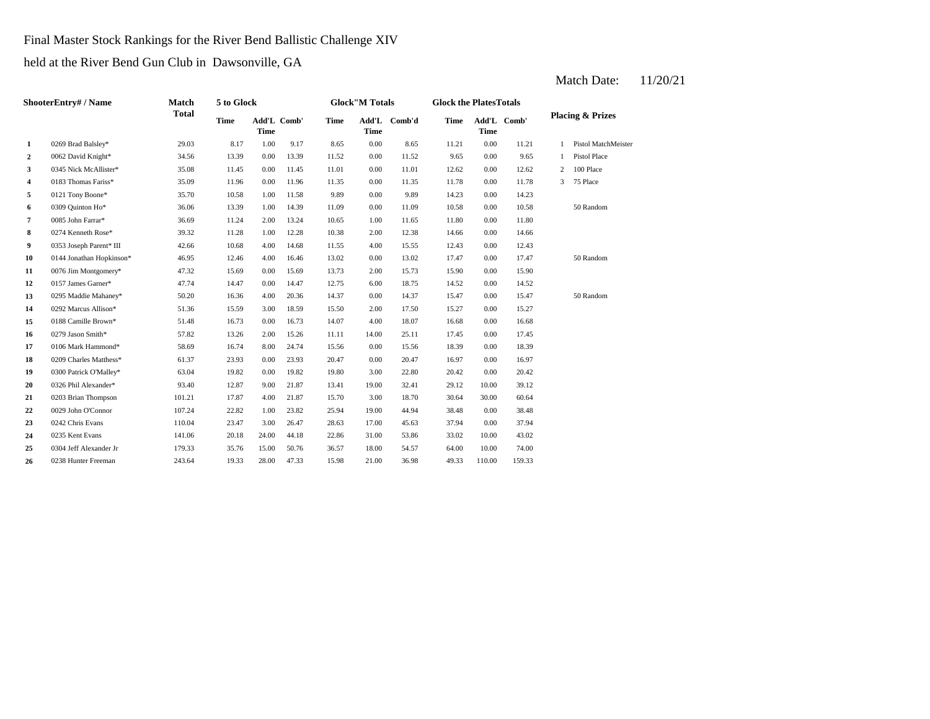Final Master Stock Rankings for the River Bend Ballistic Challenge XIV

held at the River Bend Gun Club in Dawsonville, GA

| ShooterEntry# / Name |                          | Match        | 5 to Glock  |                            |       |       | <b>Glock"M Totals</b> |        | <b>Glock the PlatesTotals</b> |             |             |                             |                     |
|----------------------|--------------------------|--------------|-------------|----------------------------|-------|-------|-----------------------|--------|-------------------------------|-------------|-------------|-----------------------------|---------------------|
|                      |                          | <b>Total</b> | <b>Time</b> | Add'L Comb'<br><b>Time</b> |       | Time  | Add'L<br><b>Time</b>  | Comb'd | Time                          | <b>Time</b> | Add'L Comb' | <b>Placing &amp; Prizes</b> |                     |
| 1                    | 0269 Brad Balsley*       | 29.03        | 8.17        | 1.00                       | 9.17  | 8.65  | 0.00                  | 8.65   | 11.21                         | 0.00        | 11.21       |                             | Pistol MatchMeister |
| $\mathbf{2}$         | 0062 David Knight*       | 34.56        | 13.39       | 0.00                       | 13.39 | 11.52 | 0.00                  | 11.52  | 9.65                          | 0.00        | 9.65        |                             | Pistol Place        |
| 3                    | 0345 Nick McAllister*    | 35.08        | 11.45       | 0.00                       | 11.45 | 11.01 | 0.00                  | 11.01  | 12.62                         | 0.00        | 12.62       | 2                           | 100 Place           |
| 4                    | 0183 Thomas Fariss*      | 35.09        | 11.96       | 0.00                       | 11.96 | 11.35 | 0.00                  | 11.35  | 11.78                         | 0.00        | 11.78       | 3                           | 75 Place            |
| 5                    | 0121 Tony Boone*         | 35.70        | 10.58       | 1.00                       | 11.58 | 9.89  | 0.00                  | 9.89   | 14.23                         | 0.00        | 14.23       |                             |                     |
| 6                    | 0309 Quinton Ho*         | 36.06        | 13.39       | 1.00                       | 14.39 | 11.09 | 0.00                  | 11.09  | 10.58                         | 0.00        | 10.58       |                             | 50 Random           |
| $\overline{7}$       | 0085 John Farrar*        | 36.69        | 11.24       | 2.00                       | 13.24 | 10.65 | 1.00                  | 11.65  | 11.80                         | 0.00        | 11.80       |                             |                     |
| 8                    | 0274 Kenneth Rose*       | 39.32        | 11.28       | 1.00                       | 12.28 | 10.38 | 2.00                  | 12.38  | 14.66                         | 0.00        | 14.66       |                             |                     |
| 9                    | 0353 Joseph Parent* III  | 42.66        | 10.68       | 4.00                       | 14.68 | 11.55 | 4.00                  | 15.55  | 12.43                         | 0.00        | 12.43       |                             |                     |
| 10                   | 0144 Jonathan Hopkinson* | 46.95        | 12.46       | 4.00                       | 16.46 | 13.02 | 0.00                  | 13.02  | 17.47                         | 0.00        | 17.47       |                             | 50 Random           |
| 11                   | 0076 Jim Montgomery*     | 47.32        | 15.69       | 0.00                       | 15.69 | 13.73 | 2.00                  | 15.73  | 15.90                         | 0.00        | 15.90       |                             |                     |
| 12                   | 0157 James Garner*       | 47.74        | 14.47       | 0.00                       | 14.47 | 12.75 | 6.00                  | 18.75  | 14.52                         | 0.00        | 14.52       |                             |                     |
| 13                   | 0295 Maddie Mahaney*     | 50.20        | 16.36       | 4.00                       | 20.36 | 14.37 | 0.00                  | 14.37  | 15.47                         | 0.00        | 15.47       |                             | 50 Random           |
| 14                   | 0292 Marcus Allison*     | 51.36        | 15.59       | 3.00                       | 18.59 | 15.50 | 2.00                  | 17.50  | 15.27                         | 0.00        | 15.27       |                             |                     |
| 15                   | 0188 Camille Brown*      | 51.48        | 16.73       | 0.00                       | 16.73 | 14.07 | 4.00                  | 18.07  | 16.68                         | 0.00        | 16.68       |                             |                     |
| 16                   | 0279 Jason Smith*        | 57.82        | 13.26       | 2.00                       | 15.26 | 11.11 | 14.00                 | 25.11  | 17.45                         | 0.00        | 17.45       |                             |                     |
| 17                   | 0106 Mark Hammond*       | 58.69        | 16.74       | 8.00                       | 24.74 | 15.56 | 0.00                  | 15.56  | 18.39                         | 0.00        | 18.39       |                             |                     |
| 18                   | 0209 Charles Matthess*   | 61.37        | 23.93       | 0.00                       | 23.93 | 20.47 | 0.00                  | 20.47  | 16.97                         | 0.00        | 16.97       |                             |                     |
| 19                   | 0300 Patrick O'Malley*   | 63.04        | 19.82       | 0.00                       | 19.82 | 19.80 | 3.00                  | 22.80  | 20.42                         | 0.00        | 20.42       |                             |                     |
| 20                   | 0326 Phil Alexander*     | 93.40        | 12.87       | 9.00                       | 21.87 | 13.41 | 19.00                 | 32.41  | 29.12                         | 10.00       | 39.12       |                             |                     |
| 21                   | 0203 Brian Thompson      | 101.21       | 17.87       | 4.00                       | 21.87 | 15.70 | 3.00                  | 18.70  | 30.64                         | 30.00       | 60.64       |                             |                     |
| 22                   | 0029 John O'Connor       | 107.24       | 22.82       | 1.00                       | 23.82 | 25.94 | 19.00                 | 44.94  | 38.48                         | 0.00        | 38.48       |                             |                     |
| 23                   | 0242 Chris Evans         | 110.04       | 23.47       | 3.00                       | 26.47 | 28.63 | 17.00                 | 45.63  | 37.94                         | 0.00        | 37.94       |                             |                     |
| 24                   | 0235 Kent Evans          | 141.06       | 20.18       | 24.00                      | 44.18 | 22.86 | 31.00                 | 53.86  | 33.02                         | 10.00       | 43.02       |                             |                     |
| 25                   | 0304 Jeff Alexander Jr   | 179.33       | 35.76       | 15.00                      | 50.76 | 36.57 | 18.00                 | 54.57  | 64.00                         | 10.00       | 74.00       |                             |                     |
| 26                   | 0238 Hunter Freeman      | 243.64       | 19.33       | 28.00                      | 47.33 | 15.98 | 21.00                 | 36.98  | 49.33                         | 110.00      | 159.33      |                             |                     |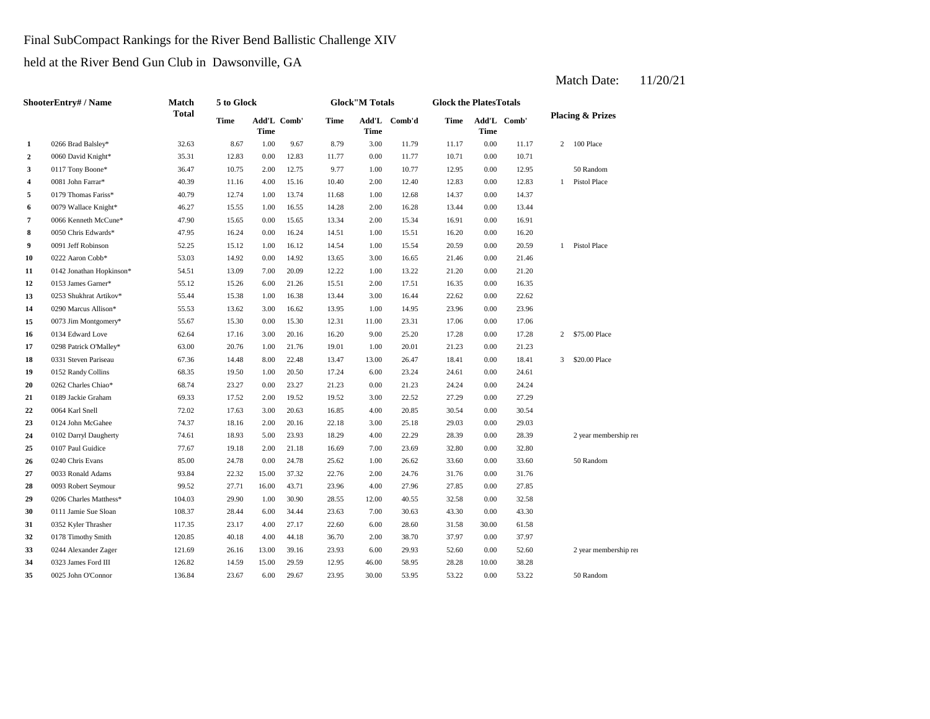Final SubCompact Rankings for the River Bend Ballistic Challenge XIV

held at the River Bend Gun Club in Dawsonville, GA

**2** 0.060 David Knight\* 35.31 12.83 0.00 12.83 11.77 0.00 11.77 10.71 0.00 **3** 0117 Tony Boone\* 36.47 10.75 2.00 12.75 9.77 1.00 10.77 12.95 0.00 12.95 **4** 2.00 12.83 **5** 1.00 14.37 0179 Thomas Fariss\* 40.79 12.74 1.00 13.74 11.68 12.68 0.00 **6** 2.00 0.079 Wallace Knight\* **46.27** 15.55 1.00 16.55 14.28 2.00 16.28 13.44 0.00 13.44 **7** 0066 Kenneth McCune\* **47.90** 15.65 0.00 15.65 13.34 2.00 15.34 16.91 **8** 1.00 0.050 Chris Edwards\* **47.95** 16.24 0.00 16.24 14.51 1.00 15.51 16.20 **9** 0091 Jeff Robinson 52.25 15.12 1.00 16.12 14.54 1.00 15.54 20.59 0.00 **10**  $0.0222$  Aaron Cobb\* 53.03 14.92 0.00 14.92 13.65 3.00 16.65 21.46 **11** 0142 Jonathan Hopkinson\* 54.51 13.09 7.00 20.09 12.22 1.00 13.22 21.20 0.00 **12** 2.00 16.35 0153 James Garner\* 55.12 15.26 6.00 21.26 15.51 17.51 0.00 16.35 **13** 3.00 22.62 0253 Shukhrat Artikov\* 55.44 15.38 1.00 16.38 13.44 **14** 0290 Marcus Allison\* 55.53 13.62 3.00 16.62 13.95 1.00 14.95 23.96 **15** 0073 Jim Montgomery\* 55.67 15.30 0.00 15.30 12.31 11.00 23.31 17.06 0.00 **16** 0134 Edward Love 62.64 17.16 3.00 20.16 16.20 9.00 25.20 17.28 0.00 17.28 **17** 0298 Patrick O'Malley\* 63.00 20.76 1.00 21.76 19.01 1.00 20.01 21.23 0.00 **18** 0331 Steven Pariseau 67.36 14.48 8.00 22.48 13.47 13.00 26.47 18.41 0.00 18.41 **19** 0152 Randy Collins 68.35 19.50 1.00 20.50 17.24 6.00 23.24 24.61 0.00 **20** 0.00 262 Charles Chiao\* 68.74 23.27 0.00 23.27 21.23 0.00 21.23 24.24 0.00 24.24 **21** 0189 Jackie Graham 69.33 17.52 2.00 19.52 19.52 3.00 22.52 27.29 **22 0064 Karl Snell 22.02 17.63 20.63 16.85 4.00 20.85 30.54 23**  $0124$  John McGahee  $14.37$   $18.16$   $2.00$   $20.16$   $22.18$   $3.00$   $25.18$   $29.03$   $0.00$ **24** 4.00 28.39 0102 Darryl Daugherty 74.61 18.93 5.00 23.93 18.29 22.29 0.00 28.39 25 0107 Paul Guidice  $\begin{array}{cccc} 77.67 & 19.18 & 2.00 & 21.18 & 16.69 & 7.00 & 23.69 & 32.80 \end{array}$ **26** 1.00 33.60 0240 Chris Evans 85.00 24.78 0.00 24.78 25.62 **27** 0033 Ronald Adams **93.84** 22.32 15.00 37.32 22.76 2.00 24.76 31.76 **28** 4.00 27.85 0093 Robert Seymour 99.52 27.71 16.00 43.71 23.96 27.96 **29** 12.00 32.58 0206 Charles Matthess\* 104.03 29.90 1.00 30.90 28.55 40.55 0.00 **30** 0111 Jamie Sue Sloan 108.37 28.44 6.00 34.44 23.63 7.00 30.63 43.30 0.00 43.30 **31** 6.00 31.58 0352 Kyler Thrasher 117.35 23.17 4.00 27.17 22.60 **32** 0178 Timothy Smith 120.85 40.18 4.00 44.18 36.70 2.00 38.70 37.97 **33** 0244 Alexander Zager 121.69 26.16 13.00 39.16 23.93 6.00 29.93 52.60 0.00 **34 4 0323** James Ford III **126.82 14.59 15.00 29.59 12.95 46.00 58.95 28.28 10.00 35** 30.00 53.22 50 Random 35.64 23.67 6.00 29.67 23.95 30.00 53.95 53.22 53.22 50 Random 38.28 0025 John O'Connor 136.84 23.67 6.00 29.67 23.95 53.95 0.00 53.22 52.60 2 year membership renewal Random 0.00 37.97 28.60 30.00 61.58 32.58 0.00 27.85 24.76 0.00 31.76 26.62 33.60 0.00 33.60 50 Random 2 year membership ren 0107 Paul Guidice 200 27.67 19.18 2.00 21.18 16.69 7.00 23.69 32.80 0.00 32.80 29.03 0.00 30.54 22.52 0.00 27.29 0064 Karl Snell 20.85 20.02 17.63 3.00 20.63 16.85 4.00 20.85 24.61 3 \$20.00 Place 21.23 2 \$75.00 Place 17.06 0.00 23.96 16.44 0.00 22.62 21.20 0.00 21.46 20.59 1 Pistol Place 0.00 16.20 15.34 0.00 16.91 14.37 1 Pistol Place 50 Random 0081 John Farrar\* 20.39 11.16 4.00 15.16 10.40 2.00 12.40 12.83 0.00 12.83 10.71 2 100 Place **1** 0266 Brad Balsley\* 32.63 8.67 1.00 9.67 8.79 3.00 11.79 11.17 0.00 11.17 **Placing & Prizes Time Add'L Comb'd Time Add'L Comb' Time** Add'L Comb' **Time Add'L Time Time ShooterEntry# / Name Match Total 5 to Glock Time Glock"M Totals Glock the PlatesTotals**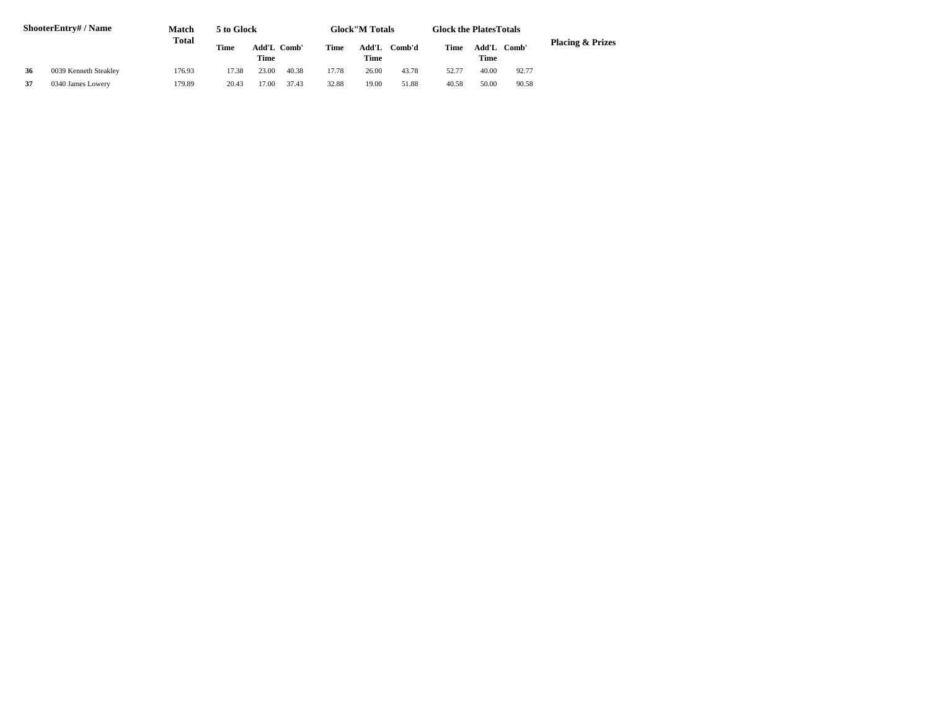| ShooterEntry# / Name |                       | Match  | 5 to Glock  |       |             | <b>Glock</b> "M Totals |               |        | <b>Glock the PlatesTotals</b> |               |       |                             |
|----------------------|-----------------------|--------|-------------|-------|-------------|------------------------|---------------|--------|-------------------------------|---------------|-------|-----------------------------|
|                      |                       | Total  | <b>Time</b> | Time  | Add'L Comb' | Time                   | Add'L<br>Time | Comb'd | Time                          | Add'L<br>Time | Comb' | <b>Placing &amp; Prizes</b> |
| 36                   | 0039 Kenneth Steakley | 176.93 | 17.38       | 23.00 | 40.38       | 17.78                  | 26.00         | 43.78  | 52.77                         | 40.00         | 92.77 |                             |
| 37                   | 0340 James Lowery     | 179.89 | 20.43       | 7.00  | 37.43       | 32.88                  | 19.00         | 51.88  | 40.58                         | 50.00         | 90.58 |                             |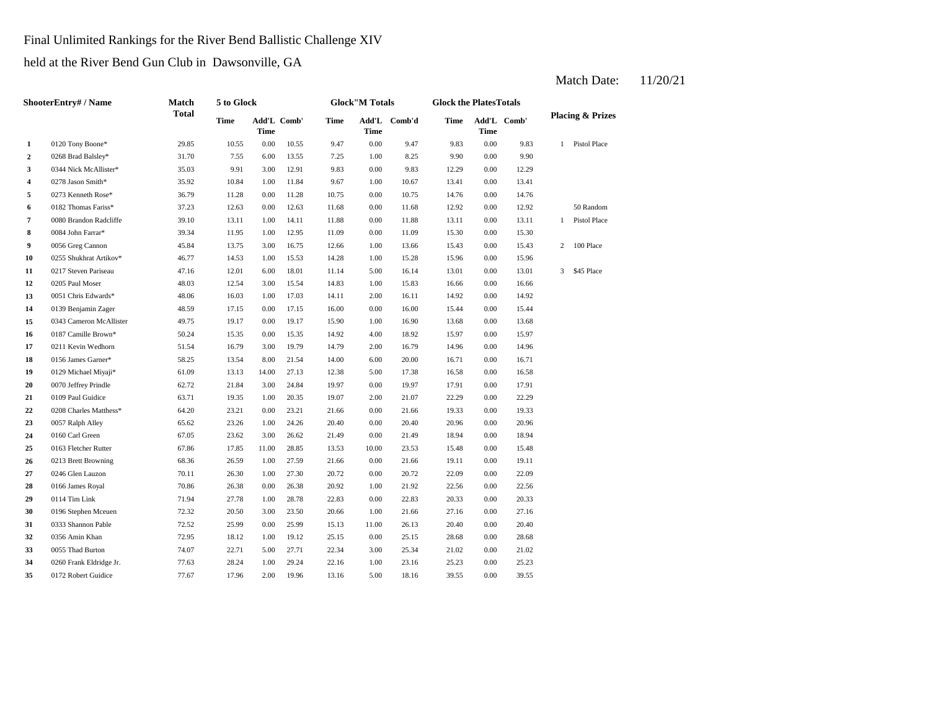Final Unlimited Rankings for the River Bend Ballistic Challenge XIV

held at the River Bend Gun Club in Dawsonville, GA

#### **2** 1.00 8.25 9.90 **3** 0344 Nick McAllister\* 35.03 9.91 3.00 12.91 9.83 0.00 9.83 12.29 0.00 **4** 0278 Jason Smith\* 35.92 10.84 1.00 11.84 9.67 1.00 10.67 13.41 **5** 0.00 10.75 14.76 **0.00 11.28** 0.00 11.28 10.75 0.00 10.75 14.76 **6** 0182 Thomas Fariss\* 37.23 12.63 0.00 12.63 11.68 0.00 11.68 12.92 **7** 0.008 Brandon Radcliffe 39.10 13.11 1.00 14.11 11.88 0.00 11.88 13.11 **8** 0084 John Farrar\* 39.34 11.95 1.00 12.95 11.09 0.00 11.09 15.30 **9** 0056 Greg Cannon **45.84** 13.75 3.00 16.75 12.66 1.00 13.66 15.43 **10** 1.00 15.96 0255 Shukhrat Artikov\* 46.77 14.53 1.00 15.53 14.28 **11** 0217 Steven Pariseau **47.16** 12.01 6.00 18.01 11.14 5.00 16.14 13.01 **12** 0205 Paul Moser **12.54** 48.03 **12.54** 3.00 **15.54** 14.83 **1.00** 15.83 **16.66 13 10051** Chris Edwards\* **18.06** 16.03 1.00 17.03 14.11 2.00 16.11 14.92 **14** 0.00 15.44 0139 Benjamin Zager 48.59 17.15 0.00 17.15 16.00 16.00 0.00 **15** 1.00 13.68 0343 Cameron McAllister 49.75 19.17 0.00 19.17 15.90 16.90 0.00 13.68 **16** 0187 Camille Brown\* 50.24 15.35 0.00 15.35 14.92 4.00 18.92 15.97 **17** 0211 Kevin Wedhorn **18.54** 16.79 3.00 19.79 14.79 2.00 16.79 14.96 **18 0156 James Garner\* 18.54 18.54 18.00 18.54 14.00 16.00 16.71 0.00 16.71 19** 5.00 16.58 0129 Michael Miyaji\* 61.09 13.13 14.00 27.13 12.38 17.38 0.00 16.58 **20** 0070 Jeffrey Prindle 62.72 21.84 3.00 24.84 19.97 0.00 19.97 17.91 **21** 0109 Paul Guidice **63.71** 19.35 1.00 20.35 19.07 2.00 21.07 22.29 **22** 0.00 19.33 0208 Charles Matthess\* 64.20 23.21 0.00 23.21 21.66 21.66 0.00 **23** 0.057 Ralph Alley 65.62 23.26 1.00 24.26 20.40 0.00 20.40 20.96 **24** 0160 Carl Green 67.05 23.62 3.00 26.62 21.49 0.00 21.49 18.94 **25** 10.00 15.48 0163 Fletcher Rutter 67.86 17.85 11.00 28.85 13.53 23.53 **26** 0.013 Brett Browning 68.36 26.59 1.00 27.59 21.66 0.00 21.66 19.11 0.00 **27** 0.246 Glen Lauzon **20.11** 26.30 1.00 27.30 20.72 0.00 20.72 22.09 **28** 0166 James Royal **20.38** 26.38 0.00 26.38 20.92 1.00 21.92 22.56 **29** 0.114 Tim Link 71.94 27.78 1.00 28.78 22.83 0.00 22.83 20.33 **30** 0196 Stephen Mceuen **72.32** 20.50 3.00 23.50 20.66 1.00 21.66 27.16 0.00 **31** 0333 Shannon Pable **72.52** 25.99 0.00 25.99 15.13 11.00 26.13 20.40 0.00 20.40 **32** 0.356 Amin Khan **12.95** 18.12 1.00 19.12 25.15 0.00 25.15 28.68 **33 33 33 33 33 34 21.02 5.00 27.71 22.34 3.00 25.34 21.02 34** 0260 Frank Eldridge Jr. **77.63** 28.24 1.00 29.24 22.16 1.00 23.16 25.23 0.00 **35**  $0.172$  Robert Guidice  $17.67$   $17.96$   $2.00$   $19.96$   $13.16$   $5.00$   $18.16$   $39.55$ 25.23 0172 Robert Guidice **77.67** 17.96 2.00 19.96 13.16 5.00 18.16 39.55 0.00 39.55 0.00 21.02 25.15 0.00 28.68 0356 Amin Khan 72.95 18.12 1.00 19.12 25.15 27.16 0.00 20.33 21.92 22.56 0.00 22.56 19.11 0246 Glen Lauzon 20.11 26.30 1.00 27.30 20.72 0.00 20.72 22.09 0.00 22.09 0.00 15.48 21.49 0.00 18.94 19.33 0057 Ralph Alley 65.62 23.26 1.00 24.26 20.40 0.00 20.40 20.96 0.00 20.96 0.00 22.29 19.97 0.00 17.91 16.71 0.00 14.96 18.92 15.97 0.00 15.97 15.44 0.00 14.92 15.83 0.00 16.66 0.00 13.01 3 \$45 Place 15.28 0.00 15.96 0.00 15.43 2 100 Place 11.09 15.30 0.00 15.30 0.00 13.11 1 Pistol Place 0.00 12.92 50 Random 10.75 0.00 14.76 12.29 0278 Jason Smith\* 35.92 10.84 1.00 11.84 9.67 1.00 10.67 13.41 0.00 13.41 0.00 9.90 9.83 1 Pistol Place 10.55 9.47 0.00 9.47 9.83 0.00 **Add'L Time Comb'd Time Add'L Comb' Placing & Prizes Time Add'L Time 1** 0120 Tony Boone\* 29.85 10.55 0.00 **ShooterEntry# / Name Match Total 5 to Glock Time Glock"M Totals Glock the PlatesTotals Time** Add'L Comb' **Time**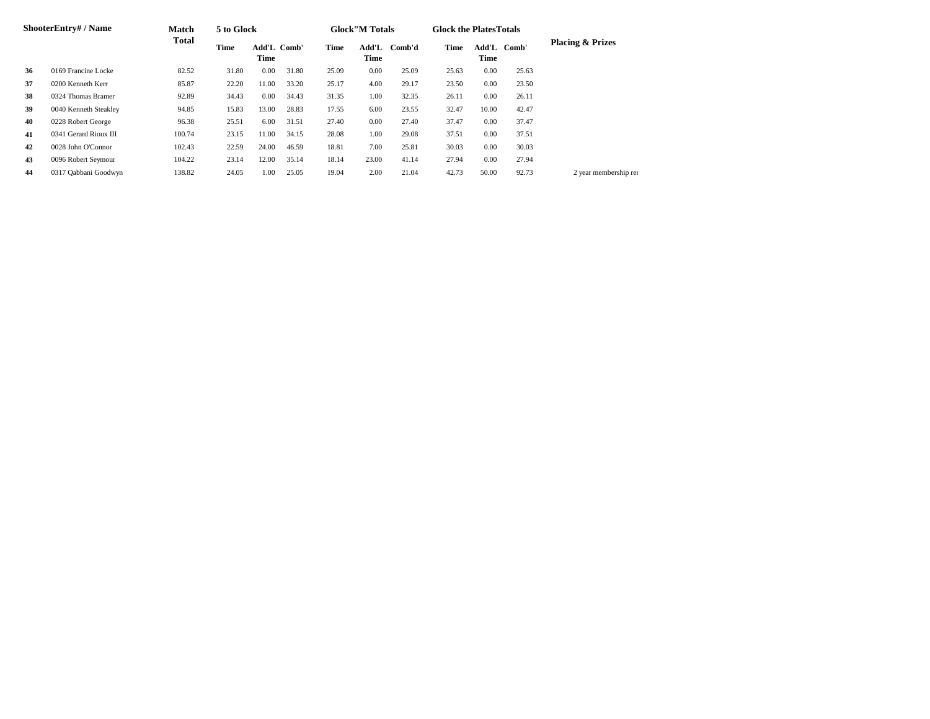| <b>ShooterEntry#/Name</b> |                       | Match  | 5 to Glock |                     |       |       | <b>Glock</b> "M Totals |        | <b>Glock the Plates Totals</b> |                     |       |                             |  |
|---------------------------|-----------------------|--------|------------|---------------------|-------|-------|------------------------|--------|--------------------------------|---------------------|-------|-----------------------------|--|
|                           |                       | Total  | Time       | Add'L Comb'<br>Time |       | Time  | Add'L<br>Time          | Comb'd | Time                           | Add'L Comb'<br>Time |       | <b>Placing &amp; Prizes</b> |  |
| 36                        | 0169 Francine Locke   | 82.52  | 31.80      | 0.00                | 31.80 | 25.09 | 0.00                   | 25.09  | 25.63                          | 0.00                | 25.63 |                             |  |
| 37                        | 0200 Kenneth Kerr     | 85.87  | 22.20      | 11.00               | 33.20 | 25.17 | 4.00                   | 29.17  | 23.50                          | 0.00                | 23.50 |                             |  |
| 38                        | 0324 Thomas Bramer    | 92.89  | 34.43      | $0.00\,$            | 34.43 | 31.35 | 1.00                   | 32.35  | 26.11                          | 0.00                | 26.11 |                             |  |
| 39                        | 0040 Kenneth Steakley | 94.85  | 15.83      | 13.00               | 28.83 | 17.55 | 6.00                   | 23.55  | 32.47                          | 10.00               | 42.47 |                             |  |
| 40                        | 0228 Robert George    | 96.38  | 25.51      | 6.00                | 31.51 | 27.40 | 0.00                   | 27.40  | 37.47                          | 0.00                | 37.47 |                             |  |
| 41                        | 0341 Gerard Rioux III | 100.74 | 23.15      | 11.00               | 34.15 | 28.08 | 1.00                   | 29.08  | 37.51                          | 0.00                | 37.51 |                             |  |
| 42                        | 0028 John O'Connor    | 102.43 | 22.59      | 24.00               | 46.59 | 18.81 | 7.00                   | 25.81  | 30.03                          | 0.00                | 30.03 |                             |  |
| 43                        | 0096 Robert Seymour   | 104.22 | 23.14      | 12.00               | 35.14 | 18.14 | 23.00                  | 41.14  | 27.94                          | 0.00                | 27.94 |                             |  |
| 44                        | 0317 Qabbani Goodwyn  | 138.82 | 24.05      | 1.00                | 25.05 | 19.04 | 2.00                   | 21.04  | 42.73                          | 50.00               | 92.73 | 2 year membership ren       |  |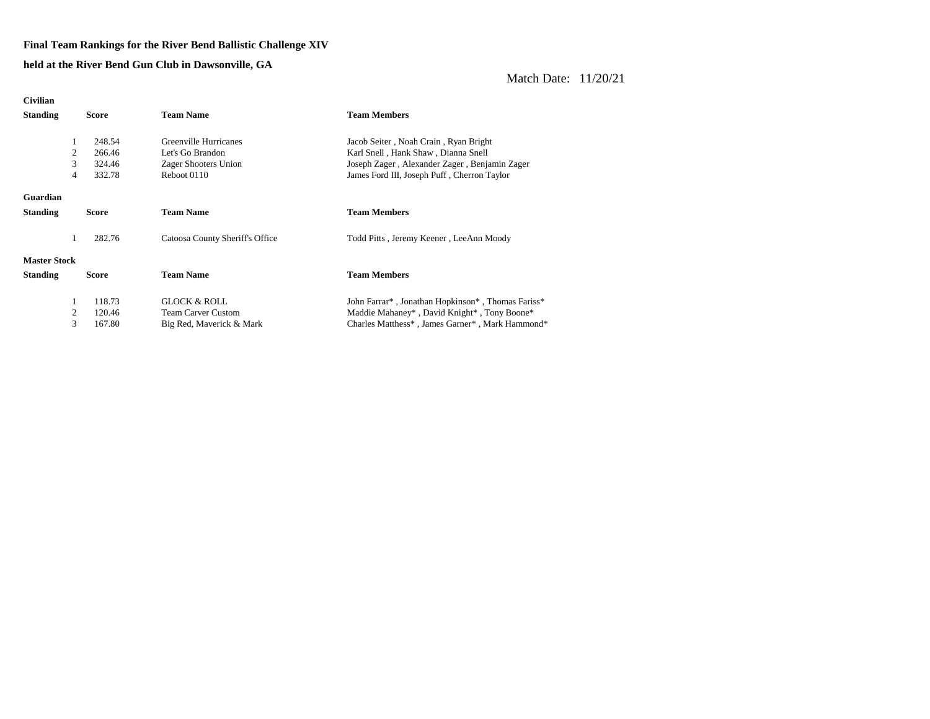#### **Final Team Rankings for the River Bend Ballistic Challenge XIV**

**held at the River Bend Gun Club in Dawsonville, GA**

| <b>Civilian</b>                 |   |              |                                 |                                                                                         |
|---------------------------------|---|--------------|---------------------------------|-----------------------------------------------------------------------------------------|
| <b>Standing</b><br><b>Score</b> |   |              | <b>Team Name</b>                | <b>Team Members</b>                                                                     |
|                                 |   |              |                                 |                                                                                         |
|                                 |   | 248.54       | Greenville Hurricanes           | Jacob Seiter, Noah Crain, Ryan Bright                                                   |
|                                 | 2 | 266.46       | Let's Go Brandon                | Karl Snell, Hank Shaw, Dianna Snell                                                     |
|                                 | 3 | 324.46       | Zager Shooters Union            | Joseph Zager, Alexander Zager, Benjamin Zager                                           |
|                                 | 4 | 332.78       | Reboot 0110                     | James Ford III, Joseph Puff, Cherron Taylor                                             |
| Guardian                        |   |              |                                 |                                                                                         |
| <b>Standing</b>                 |   | <b>Score</b> | <b>Team Name</b>                | <b>Team Members</b>                                                                     |
|                                 |   |              |                                 |                                                                                         |
|                                 | 1 | 282.76       | Catoosa County Sheriff's Office | Todd Pitts, Jeremy Keener, LeeAnn Moody                                                 |
|                                 |   |              |                                 |                                                                                         |
| <b>Master Stock</b>             |   |              |                                 |                                                                                         |
| <b>Standing</b>                 |   | <b>Score</b> | <b>Team Name</b>                | <b>Team Members</b>                                                                     |
|                                 |   |              |                                 |                                                                                         |
|                                 | 1 | 118.73       | GLOCK & ROLL                    | John Farrar <sup>*</sup> , Jonathan Hopkinson <sup>*</sup> , Thomas Fariss <sup>*</sup> |
|                                 | 2 | 120.46       | <b>Team Carver Custom</b>       | Maddie Mahaney*, David Knight*, Tony Boone*                                             |
|                                 | 3 | 167.80       | Big Red, Maverick & Mark        | Charles Matthess*, James Garner*, Mark Hammond*                                         |